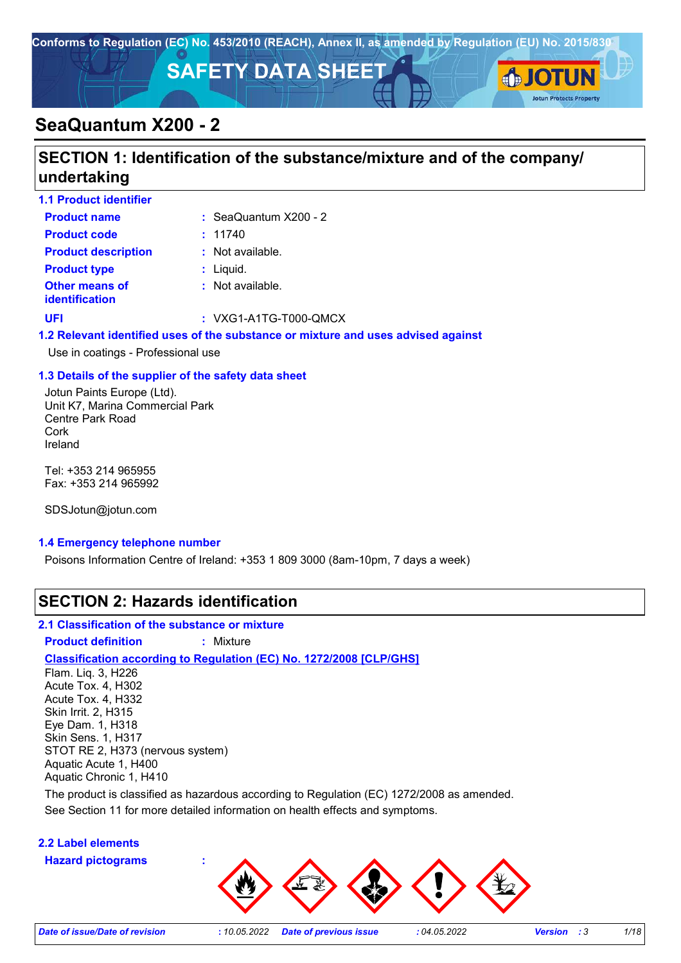

## **SECTION 1: Identification of the substance/mixture and of the company/ undertaking**

| <b>1.1 Product identifier</b>           |                                  |
|-----------------------------------------|----------------------------------|
| <b>Product name</b>                     | $\therefore$ SeaQuantum X200 - 2 |
| <b>Product code</b>                     | : 11740                          |
| <b>Product description</b>              | : Not available.                 |
| <b>Product type</b>                     | $:$ Liquid.                      |
| <b>Other means of</b><br>identification | : Not available.                 |
| UFI                                     | : VXG1-A1TG-T000-QMCX            |
|                                         |                                  |

#### **1.2 Relevant identified uses of the substance or mixture and uses advised against**

Use in coatings - Professional use

#### **1.3 Details of the supplier of the safety data sheet**

Jotun Paints Europe (Ltd). Unit K7, Marina Commercial Park Centre Park Road Cork Ireland

Tel: +353 214 965955 Fax: +353 214 965992

SDSJotun@jotun.com

#### **1.4 Emergency telephone number**

Poisons Information Centre of Ireland: +353 1 809 3000 (8am-10pm, 7 days a week)

### **SECTION 2: Hazards identification**

#### **2.1 Classification of the substance or mixture**

**Product definition :** Mixture

#### **Classification according to Regulation (EC) No. 1272/2008 [CLP/GHS]**

Flam. Liq. 3, H226 Acute Tox. 4, H302 Acute Tox. 4, H332 Skin Irrit. 2, H315 Eye Dam. 1, H318 Skin Sens. 1, H317 STOT RE 2, H373 (nervous system) Aquatic Acute 1, H400 Aquatic Chronic 1, H410

See Section 11 for more detailed information on health effects and symptoms. The product is classified as hazardous according to Regulation (EC) 1272/2008 as amended.

#### **2.2 Label elements**

**Hazard pictograms :**



*Date of issue/Date of revision* **:** *10.05.2022 Date of previous issue : 04.05.2022 Version : 3 1/18*



**Jotun Protects Property**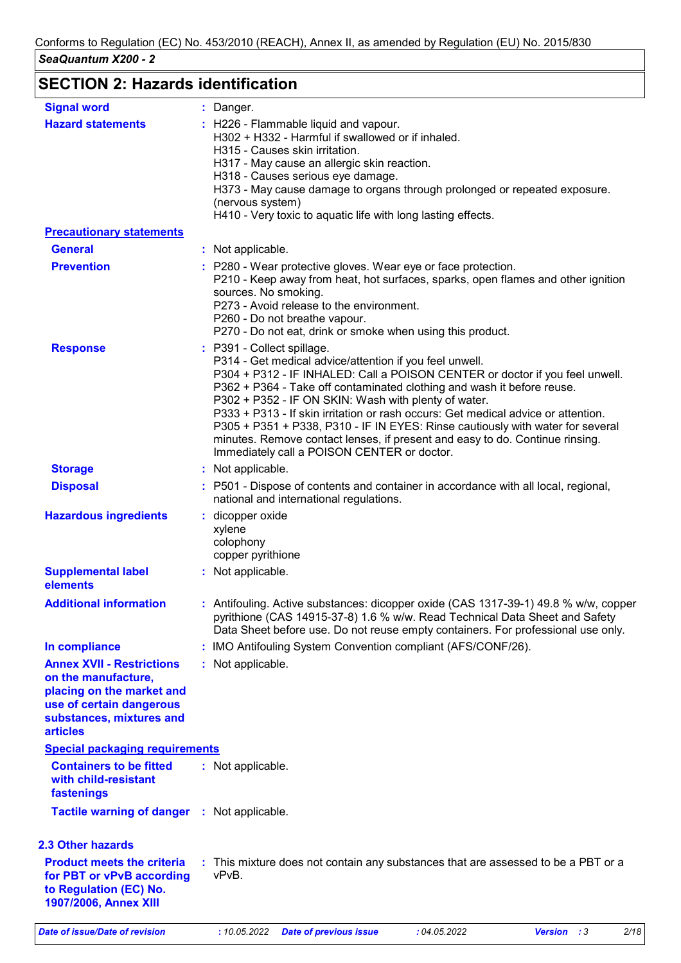## **SECTION 2: Hazards identification**

| <b>Signal word</b>                                                                                                                                              | : Danger.                                                                                                                                                                                                                                                                                                                                                                                                                                                                                                                                                                                                     |
|-----------------------------------------------------------------------------------------------------------------------------------------------------------------|---------------------------------------------------------------------------------------------------------------------------------------------------------------------------------------------------------------------------------------------------------------------------------------------------------------------------------------------------------------------------------------------------------------------------------------------------------------------------------------------------------------------------------------------------------------------------------------------------------------|
| <b>Hazard statements</b>                                                                                                                                        | : H226 - Flammable liquid and vapour.<br>H302 + H332 - Harmful if swallowed or if inhaled.<br>H315 - Causes skin irritation.<br>H317 - May cause an allergic skin reaction.<br>H318 - Causes serious eye damage.<br>H373 - May cause damage to organs through prolonged or repeated exposure.<br>(nervous system)<br>H410 - Very toxic to aquatic life with long lasting effects.                                                                                                                                                                                                                             |
| <b>Precautionary statements</b>                                                                                                                                 |                                                                                                                                                                                                                                                                                                                                                                                                                                                                                                                                                                                                               |
| <b>General</b>                                                                                                                                                  | : Not applicable.                                                                                                                                                                                                                                                                                                                                                                                                                                                                                                                                                                                             |
| <b>Prevention</b>                                                                                                                                               | : P280 - Wear protective gloves. Wear eye or face protection.<br>P210 - Keep away from heat, hot surfaces, sparks, open flames and other ignition<br>sources. No smoking.<br>P273 - Avoid release to the environment.<br>P260 - Do not breathe vapour.<br>P270 - Do not eat, drink or smoke when using this product.                                                                                                                                                                                                                                                                                          |
| <b>Response</b>                                                                                                                                                 | : P391 - Collect spillage.<br>P314 - Get medical advice/attention if you feel unwell.<br>P304 + P312 - IF INHALED: Call a POISON CENTER or doctor if you feel unwell.<br>P362 + P364 - Take off contaminated clothing and wash it before reuse.<br>P302 + P352 - IF ON SKIN: Wash with plenty of water.<br>P333 + P313 - If skin irritation or rash occurs: Get medical advice or attention.<br>P305 + P351 + P338, P310 - IF IN EYES: Rinse cautiously with water for several<br>minutes. Remove contact lenses, if present and easy to do. Continue rinsing.<br>Immediately call a POISON CENTER or doctor. |
| <b>Storage</b>                                                                                                                                                  | : Not applicable.                                                                                                                                                                                                                                                                                                                                                                                                                                                                                                                                                                                             |
| <b>Disposal</b>                                                                                                                                                 | : P501 - Dispose of contents and container in accordance with all local, regional,<br>national and international regulations.                                                                                                                                                                                                                                                                                                                                                                                                                                                                                 |
| <b>Hazardous ingredients</b>                                                                                                                                    | : dicopper oxide<br>xylene<br>colophony<br>copper pyrithione                                                                                                                                                                                                                                                                                                                                                                                                                                                                                                                                                  |
| <b>Supplemental label</b><br>elements                                                                                                                           | : Not applicable.                                                                                                                                                                                                                                                                                                                                                                                                                                                                                                                                                                                             |
| <b>Additional information</b>                                                                                                                                   | : Antifouling. Active substances: dicopper oxide (CAS 1317-39-1) 49.8 % w/w, copper<br>pyrithione (CAS 14915-37-8) 1.6 % w/w. Read Technical Data Sheet and Safety<br>Data Sheet before use. Do not reuse empty containers. For professional use only.                                                                                                                                                                                                                                                                                                                                                        |
| In compliance                                                                                                                                                   | : IMO Antifouling System Convention compliant (AFS/CONF/26).                                                                                                                                                                                                                                                                                                                                                                                                                                                                                                                                                  |
| <b>Annex XVII - Restrictions</b><br>on the manufacture,<br>placing on the market and<br>use of certain dangerous<br>substances, mixtures and<br><b>articles</b> | : Not applicable.                                                                                                                                                                                                                                                                                                                                                                                                                                                                                                                                                                                             |
| <b>Special packaging requirements</b>                                                                                                                           |                                                                                                                                                                                                                                                                                                                                                                                                                                                                                                                                                                                                               |
| <b>Containers to be fitted</b><br>with child-resistant<br>fastenings                                                                                            | : Not applicable.                                                                                                                                                                                                                                                                                                                                                                                                                                                                                                                                                                                             |
| <b>Tactile warning of danger</b>                                                                                                                                | : Not applicable.                                                                                                                                                                                                                                                                                                                                                                                                                                                                                                                                                                                             |
|                                                                                                                                                                 |                                                                                                                                                                                                                                                                                                                                                                                                                                                                                                                                                                                                               |
| <b>2.3 Other hazards</b><br><b>Product meets the criteria</b><br>for PBT or vPvB according<br>to Regulation (EC) No.<br>1907/2006, Annex XIII                   | : This mixture does not contain any substances that are assessed to be a PBT or a<br>vPvB.                                                                                                                                                                                                                                                                                                                                                                                                                                                                                                                    |
| <b>Date of issue/Date of revision</b>                                                                                                                           | 2/18<br>: 10.05.2022<br><b>Date of previous issue</b><br>:04.05.2022<br>Version : 3                                                                                                                                                                                                                                                                                                                                                                                                                                                                                                                           |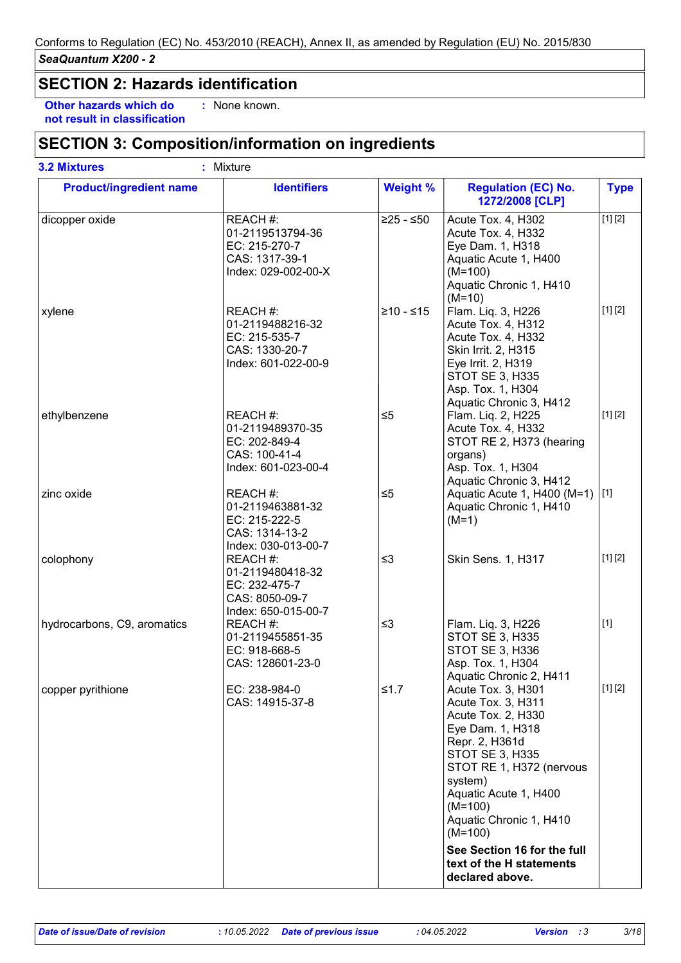### **SECTION 2: Hazards identification**

**Other hazards which do : not result in classification** : None known.

### **SECTION 3: Composition/information on ingredients**

| <b>Product/ingredient name</b> | <b>Identifiers</b>                                                                     | <b>Weight %</b> | <b>Regulation (EC) No.</b><br>1272/2008 [CLP]                                                                                                                                                                                                       | <b>Type</b> |
|--------------------------------|----------------------------------------------------------------------------------------|-----------------|-----------------------------------------------------------------------------------------------------------------------------------------------------------------------------------------------------------------------------------------------------|-------------|
| dicopper oxide                 | REACH #:<br>01-2119513794-36<br>EC: 215-270-7<br>CAS: 1317-39-1<br>Index: 029-002-00-X | $≥25 - ≤50$     | Acute Tox. 4, H302<br>Acute Tox. 4, H332<br>Eye Dam. 1, H318<br>Aquatic Acute 1, H400<br>$(M=100)$<br>Aquatic Chronic 1, H410<br>$(M=10)$                                                                                                           | [1] [2]     |
| xylene                         | REACH #:<br>01-2119488216-32<br>EC: 215-535-7<br>CAS: 1330-20-7<br>Index: 601-022-00-9 | $≥10 - ≤15$     | Flam. Liq. 3, H226<br>Acute Tox. 4, H312<br>Acute Tox. 4, H332<br><b>Skin Irrit. 2, H315</b><br>Eye Irrit. 2, H319<br><b>STOT SE 3, H335</b><br>Asp. Tox. 1, H304<br>Aquatic Chronic 3, H412                                                        | [1] [2]     |
| ethylbenzene                   | REACH #:<br>01-2119489370-35<br>EC: 202-849-4<br>CAS: 100-41-4<br>Index: 601-023-00-4  | $\leq 5$        | Flam. Liq. 2, H225<br>Acute Tox. 4, H332<br>STOT RE 2, H373 (hearing<br>organs)<br>Asp. Tox. 1, H304<br>Aquatic Chronic 3, H412                                                                                                                     | [1] [2]     |
| zinc oxide                     | REACH #:<br>01-2119463881-32<br>EC: 215-222-5<br>CAS: 1314-13-2<br>Index: 030-013-00-7 | $\leq 5$        | Aquatic Acute 1, H400 (M=1)<br>Aquatic Chronic 1, H410<br>$(M=1)$                                                                                                                                                                                   | [1]         |
| colophony                      | REACH #:<br>01-2119480418-32<br>EC: 232-475-7<br>CAS: 8050-09-7<br>Index: 650-015-00-7 | $\leq$ 3        | Skin Sens. 1, H317                                                                                                                                                                                                                                  | [1] [2]     |
| hydrocarbons, C9, aromatics    | REACH#:<br>01-2119455851-35<br>EC: 918-668-5<br>CAS: 128601-23-0                       | $\leq$ 3        | Flam. Liq. 3, H226<br><b>STOT SE 3, H335</b><br><b>STOT SE 3, H336</b><br>Asp. Tox. 1, H304<br>Aquatic Chronic 2, H411                                                                                                                              | $[1]$       |
| copper pyrithione              | EC: 238-984-0<br>CAS: 14915-37-8                                                       | $≤1.7$          | Acute Tox. 3, H301<br>Acute Tox. 3, H311<br>Acute Tox. 2, H330<br>Eye Dam. 1, H318<br>Repr. 2, H361d<br><b>STOT SE 3, H335</b><br>STOT RE 1, H372 (nervous<br>system)<br>Aquatic Acute 1, H400<br>$(M=100)$<br>Aquatic Chronic 1, H410<br>$(M=100)$ | [1] [2]     |
|                                |                                                                                        |                 | See Section 16 for the full<br>text of the H statements<br>declared above.                                                                                                                                                                          |             |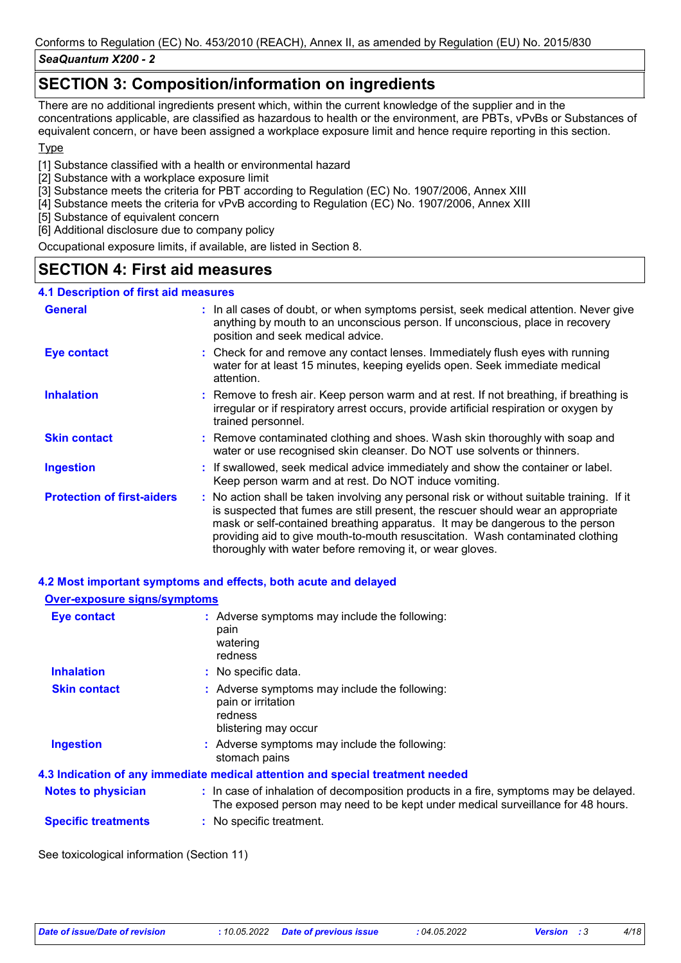## **SECTION 3: Composition/information on ingredients**

There are no additional ingredients present which, within the current knowledge of the supplier and in the concentrations applicable, are classified as hazardous to health or the environment, are PBTs, vPvBs or Substances of equivalent concern, or have been assigned a workplace exposure limit and hence require reporting in this section.

#### **Type**

[1] Substance classified with a health or environmental hazard

- [2] Substance with a workplace exposure limit
- [3] Substance meets the criteria for PBT according to Regulation (EC) No. 1907/2006, Annex XIII
- [4] Substance meets the criteria for vPvB according to Regulation (EC) No. 1907/2006, Annex XIII
- [5] Substance of equivalent concern
- [6] Additional disclosure due to company policy

Occupational exposure limits, if available, are listed in Section 8.

## **SECTION 4: First aid measures**

#### **4.1 Description of first aid measures**

| <b>General</b>                    | : In all cases of doubt, or when symptoms persist, seek medical attention. Never give<br>anything by mouth to an unconscious person. If unconscious, place in recovery<br>position and seek medical advice.                                                                                                                                                                                                     |  |
|-----------------------------------|-----------------------------------------------------------------------------------------------------------------------------------------------------------------------------------------------------------------------------------------------------------------------------------------------------------------------------------------------------------------------------------------------------------------|--|
| <b>Eye contact</b>                | : Check for and remove any contact lenses. Immediately flush eyes with running<br>water for at least 15 minutes, keeping eyelids open. Seek immediate medical<br>attention.                                                                                                                                                                                                                                     |  |
| <b>Inhalation</b>                 | : Remove to fresh air. Keep person warm and at rest. If not breathing, if breathing is<br>irregular or if respiratory arrest occurs, provide artificial respiration or oxygen by<br>trained personnel.                                                                                                                                                                                                          |  |
| <b>Skin contact</b>               | : Remove contaminated clothing and shoes. Wash skin thoroughly with soap and<br>water or use recognised skin cleanser. Do NOT use solvents or thinners.                                                                                                                                                                                                                                                         |  |
| <b>Ingestion</b>                  | : If swallowed, seek medical advice immediately and show the container or label.<br>Keep person warm and at rest. Do NOT induce vomiting.                                                                                                                                                                                                                                                                       |  |
| <b>Protection of first-aiders</b> | : No action shall be taken involving any personal risk or without suitable training. If it<br>is suspected that fumes are still present, the rescuer should wear an appropriate<br>mask or self-contained breathing apparatus. It may be dangerous to the person<br>providing aid to give mouth-to-mouth resuscitation. Wash contaminated clothing<br>thoroughly with water before removing it, or wear gloves. |  |

#### **4.2 Most important symptoms and effects, both acute and delayed**

## **Over-exposure signs/symptoms**

| <b>Eye contact</b>         | : Adverse symptoms may include the following:<br>pain<br>watering<br>redness                                                                                             |
|----------------------------|--------------------------------------------------------------------------------------------------------------------------------------------------------------------------|
| <b>Inhalation</b>          | : No specific data.                                                                                                                                                      |
| <b>Skin contact</b>        | : Adverse symptoms may include the following:<br>pain or irritation<br>redness<br>blistering may occur                                                                   |
| <b>Ingestion</b>           | : Adverse symptoms may include the following:<br>stomach pains                                                                                                           |
|                            | 4.3 Indication of any immediate medical attention and special treatment needed                                                                                           |
| <b>Notes to physician</b>  | : In case of inhalation of decomposition products in a fire, symptoms may be delayed.<br>The exposed person may need to be kept under medical surveillance for 48 hours. |
| <b>Specific treatments</b> | : No specific treatment.                                                                                                                                                 |

See toxicological information (Section 11)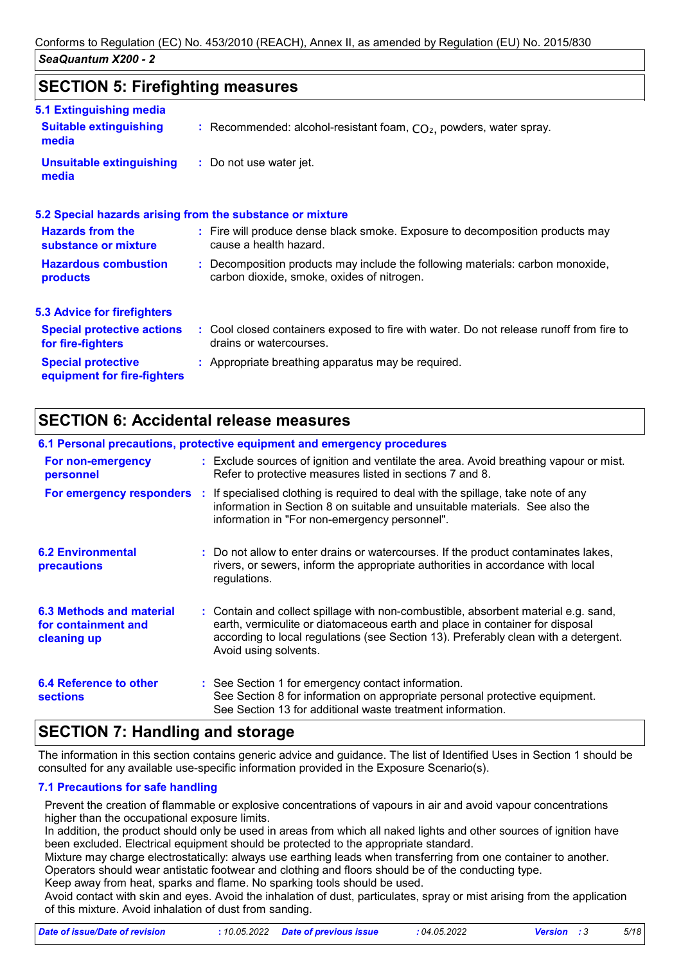### **SECTION 5: Firefighting measures**

| 5.1 Extinguishing media                                  |                                                                                                                              |
|----------------------------------------------------------|------------------------------------------------------------------------------------------------------------------------------|
| <b>Suitable extinguishing</b><br>media                   | : Recommended: alcohol-resistant foam, $CO2$ , powders, water spray.                                                         |
| <b>Unsuitable extinguishing</b><br>media                 | : Do not use water jet.                                                                                                      |
|                                                          | 5.2 Special hazards arising from the substance or mixture                                                                    |
| <b>Hazards from the</b><br>substance or mixture          | : Fire will produce dense black smoke. Exposure to decomposition products may<br>cause a health hazard.                      |
| <b>Hazardous combustion</b><br>products                  | : Decomposition products may include the following materials: carbon monoxide,<br>carbon dioxide, smoke, oxides of nitrogen. |
| <b>5.3 Advice for firefighters</b>                       |                                                                                                                              |
| <b>Special protective actions</b><br>for fire-fighters   | : Cool closed containers exposed to fire with water. Do not release runoff from fire to<br>drains or watercourses.           |
| <b>Special protective</b><br>equipment for fire-fighters | : Appropriate breathing apparatus may be required.                                                                           |
|                                                          |                                                                                                                              |

## **SECTION 6: Accidental release measures**

|                                                                | 6.1 Personal precautions, protective equipment and emergency procedures                                                                                                                                                                                                            |
|----------------------------------------------------------------|------------------------------------------------------------------------------------------------------------------------------------------------------------------------------------------------------------------------------------------------------------------------------------|
| For non-emergency<br>personnel                                 | : Exclude sources of ignition and ventilate the area. Avoid breathing vapour or mist.<br>Refer to protective measures listed in sections 7 and 8.                                                                                                                                  |
|                                                                | For emergency responders : If specialised clothing is required to deal with the spillage, take note of any<br>information in Section 8 on suitable and unsuitable materials. See also the<br>information in "For non-emergency personnel".                                         |
| <b>6.2 Environmental</b><br>precautions                        | : Do not allow to enter drains or watercourses. If the product contaminates lakes,<br>rivers, or sewers, inform the appropriate authorities in accordance with local<br>regulations.                                                                                               |
| 6.3 Methods and material<br>for containment and<br>cleaning up | : Contain and collect spillage with non-combustible, absorbent material e.g. sand,<br>earth, vermiculite or diatomaceous earth and place in container for disposal<br>according to local regulations (see Section 13). Preferably clean with a detergent.<br>Avoid using solvents. |
| 6.4 Reference to other<br><b>sections</b>                      | : See Section 1 for emergency contact information.<br>See Section 8 for information on appropriate personal protective equipment.<br>See Section 13 for additional waste treatment information.                                                                                    |

## **SECTION 7: Handling and storage**

The information in this section contains generic advice and guidance. The list of Identified Uses in Section 1 should be consulted for any available use-specific information provided in the Exposure Scenario(s).

#### **7.1 Precautions for safe handling**

Prevent the creation of flammable or explosive concentrations of vapours in air and avoid vapour concentrations higher than the occupational exposure limits.

In addition, the product should only be used in areas from which all naked lights and other sources of ignition have been excluded. Electrical equipment should be protected to the appropriate standard.

Mixture may charge electrostatically: always use earthing leads when transferring from one container to another. Operators should wear antistatic footwear and clothing and floors should be of the conducting type.

Keep away from heat, sparks and flame. No sparking tools should be used.

Avoid contact with skin and eyes. Avoid the inhalation of dust, particulates, spray or mist arising from the application of this mixture. Avoid inhalation of dust from sanding.

| Date of issue/Date of revision | : 10.05.2022 Date of previous issue | : 04.05.2022 | <b>Version</b> : 3 | 5/18 |
|--------------------------------|-------------------------------------|--------------|--------------------|------|
|                                |                                     |              |                    |      |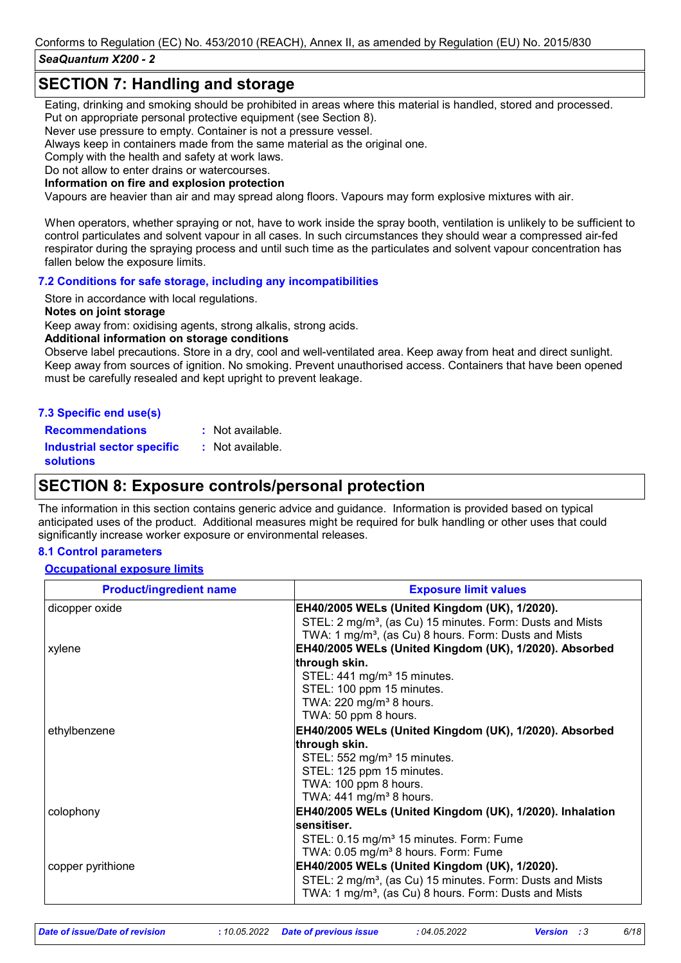## **SECTION 7: Handling and storage**

Eating, drinking and smoking should be prohibited in areas where this material is handled, stored and processed. Put on appropriate personal protective equipment (see Section 8).

Never use pressure to empty. Container is not a pressure vessel.

Always keep in containers made from the same material as the original one.

Comply with the health and safety at work laws.

Do not allow to enter drains or watercourses.

#### **Information on fire and explosion protection**

Vapours are heavier than air and may spread along floors. Vapours may form explosive mixtures with air.

When operators, whether spraying or not, have to work inside the spray booth, ventilation is unlikely to be sufficient to control particulates and solvent vapour in all cases. In such circumstances they should wear a compressed air-fed respirator during the spraying process and until such time as the particulates and solvent vapour concentration has fallen below the exposure limits.

#### **7.2 Conditions for safe storage, including any incompatibilities**

Store in accordance with local regulations.

#### **Notes on joint storage**

Keep away from: oxidising agents, strong alkalis, strong acids.

#### **Additional information on storage conditions**

Observe label precautions. Store in a dry, cool and well-ventilated area. Keep away from heat and direct sunlight. Keep away from sources of ignition. No smoking. Prevent unauthorised access. Containers that have been opened must be carefully resealed and kept upright to prevent leakage.

#### **7.3 Specific end use(s)**

| <b>Recommendations</b>                         | : Not available. |
|------------------------------------------------|------------------|
| Industrial sector specific<br><b>solutions</b> | : Not available. |

### **SECTION 8: Exposure controls/personal protection**

The information in this section contains generic advice and guidance. Information is provided based on typical anticipated uses of the product. Additional measures might be required for bulk handling or other uses that could significantly increase worker exposure or environmental releases.

#### **8.1 Control parameters**

#### **Occupational exposure limits**

| <b>Product/ingredient name</b> | <b>Exposure limit values</b>                                                                                                                                                                                   |  |  |
|--------------------------------|----------------------------------------------------------------------------------------------------------------------------------------------------------------------------------------------------------------|--|--|
| dicopper oxide                 | EH40/2005 WELs (United Kingdom (UK), 1/2020).<br>STEL: 2 mg/m <sup>3</sup> , (as Cu) 15 minutes. Form: Dusts and Mists<br>TWA: 1 mg/m <sup>3</sup> , (as Cu) 8 hours. Form: Dusts and Mists                    |  |  |
| xylene                         | EH40/2005 WELs (United Kingdom (UK), 1/2020). Absorbed                                                                                                                                                         |  |  |
| ethylbenzene                   | through skin.<br>STEL: 441 mg/m <sup>3</sup> 15 minutes.<br>STEL: 100 ppm 15 minutes.<br>TWA: 220 mg/m <sup>3</sup> 8 hours.<br>TWA: 50 ppm 8 hours.<br>EH40/2005 WELs (United Kingdom (UK), 1/2020). Absorbed |  |  |
|                                | through skin.<br>STEL: 552 mg/m <sup>3</sup> 15 minutes.<br>STEL: 125 ppm 15 minutes.<br>TWA: 100 ppm 8 hours.<br>TWA: $441$ mg/m <sup>3</sup> 8 hours.                                                        |  |  |
| colophony                      | EH40/2005 WELs (United Kingdom (UK), 1/2020). Inhalation                                                                                                                                                       |  |  |
| copper pyrithione              | sensitiser.<br>STEL: 0.15 mg/m <sup>3</sup> 15 minutes. Form: Fume<br>TWA: 0.05 mg/m <sup>3</sup> 8 hours. Form: Fume<br>EH40/2005 WELs (United Kingdom (UK), 1/2020).                                         |  |  |
|                                | STEL: 2 mg/m <sup>3</sup> , (as Cu) 15 minutes. Form: Dusts and Mists<br>TWA: 1 mg/m <sup>3</sup> , (as Cu) 8 hours. Form: Dusts and Mists                                                                     |  |  |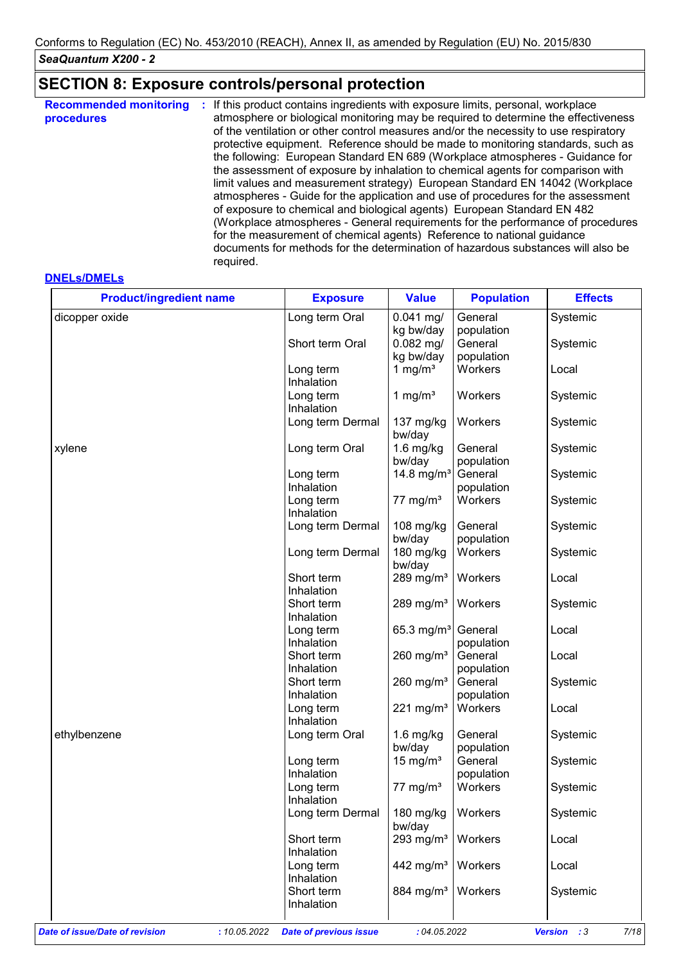## **SECTION 8: Exposure controls/personal protection**

| procedures<br>of the ventilation or other control measures and/or the necessity to use respiratory<br>the assessment of exposure by inhalation to chemical agents for comparison with<br>of exposure to chemical and biological agents) European Standard EN 482<br>for the measurement of chemical agents) Reference to national guidance<br>required. | <b>Recommended monitoring</b> | If this product contains ingredients with exposure limits, personal, workplace<br>atmosphere or biological monitoring may be required to determine the effectiveness<br>protective equipment. Reference should be made to monitoring standards, such as<br>the following: European Standard EN 689 (Workplace atmospheres - Guidance for<br>limit values and measurement strategy) European Standard EN 14042 (Workplace<br>atmospheres - Guide for the application and use of procedures for the assessment<br>(Workplace atmospheres - General requirements for the performance of procedures<br>documents for methods for the determination of hazardous substances will also be |
|---------------------------------------------------------------------------------------------------------------------------------------------------------------------------------------------------------------------------------------------------------------------------------------------------------------------------------------------------------|-------------------------------|-------------------------------------------------------------------------------------------------------------------------------------------------------------------------------------------------------------------------------------------------------------------------------------------------------------------------------------------------------------------------------------------------------------------------------------------------------------------------------------------------------------------------------------------------------------------------------------------------------------------------------------------------------------------------------------|
|---------------------------------------------------------------------------------------------------------------------------------------------------------------------------------------------------------------------------------------------------------------------------------------------------------------------------------------------------------|-------------------------------|-------------------------------------------------------------------------------------------------------------------------------------------------------------------------------------------------------------------------------------------------------------------------------------------------------------------------------------------------------------------------------------------------------------------------------------------------------------------------------------------------------------------------------------------------------------------------------------------------------------------------------------------------------------------------------------|

#### **DNELs/DMELs**

| <b>Exposure</b> | <b>Value</b>                                                                                                                                                                                                                                                                                                                                                                                                                                                                                 | <b>Population</b>                                                                                                                                                                                                                                                                                                                                                                                         | <b>Effects</b>                                                                                                                                                                                                                                                                                                                                                                                                                                        |
|-----------------|----------------------------------------------------------------------------------------------------------------------------------------------------------------------------------------------------------------------------------------------------------------------------------------------------------------------------------------------------------------------------------------------------------------------------------------------------------------------------------------------|-----------------------------------------------------------------------------------------------------------------------------------------------------------------------------------------------------------------------------------------------------------------------------------------------------------------------------------------------------------------------------------------------------------|-------------------------------------------------------------------------------------------------------------------------------------------------------------------------------------------------------------------------------------------------------------------------------------------------------------------------------------------------------------------------------------------------------------------------------------------------------|
| Long term Oral  | $0.041$ mg/                                                                                                                                                                                                                                                                                                                                                                                                                                                                                  | General                                                                                                                                                                                                                                                                                                                                                                                                   | Systemic                                                                                                                                                                                                                                                                                                                                                                                                                                              |
|                 |                                                                                                                                                                                                                                                                                                                                                                                                                                                                                              |                                                                                                                                                                                                                                                                                                                                                                                                           |                                                                                                                                                                                                                                                                                                                                                                                                                                                       |
| Short term Oral |                                                                                                                                                                                                                                                                                                                                                                                                                                                                                              | General                                                                                                                                                                                                                                                                                                                                                                                                   | Systemic                                                                                                                                                                                                                                                                                                                                                                                                                                              |
|                 |                                                                                                                                                                                                                                                                                                                                                                                                                                                                                              |                                                                                                                                                                                                                                                                                                                                                                                                           |                                                                                                                                                                                                                                                                                                                                                                                                                                                       |
|                 |                                                                                                                                                                                                                                                                                                                                                                                                                                                                                              |                                                                                                                                                                                                                                                                                                                                                                                                           | Local                                                                                                                                                                                                                                                                                                                                                                                                                                                 |
|                 |                                                                                                                                                                                                                                                                                                                                                                                                                                                                                              |                                                                                                                                                                                                                                                                                                                                                                                                           |                                                                                                                                                                                                                                                                                                                                                                                                                                                       |
|                 |                                                                                                                                                                                                                                                                                                                                                                                                                                                                                              |                                                                                                                                                                                                                                                                                                                                                                                                           | Systemic                                                                                                                                                                                                                                                                                                                                                                                                                                              |
|                 |                                                                                                                                                                                                                                                                                                                                                                                                                                                                                              |                                                                                                                                                                                                                                                                                                                                                                                                           |                                                                                                                                                                                                                                                                                                                                                                                                                                                       |
|                 |                                                                                                                                                                                                                                                                                                                                                                                                                                                                                              |                                                                                                                                                                                                                                                                                                                                                                                                           | Systemic                                                                                                                                                                                                                                                                                                                                                                                                                                              |
|                 |                                                                                                                                                                                                                                                                                                                                                                                                                                                                                              |                                                                                                                                                                                                                                                                                                                                                                                                           |                                                                                                                                                                                                                                                                                                                                                                                                                                                       |
|                 |                                                                                                                                                                                                                                                                                                                                                                                                                                                                                              |                                                                                                                                                                                                                                                                                                                                                                                                           | Systemic                                                                                                                                                                                                                                                                                                                                                                                                                                              |
|                 |                                                                                                                                                                                                                                                                                                                                                                                                                                                                                              |                                                                                                                                                                                                                                                                                                                                                                                                           |                                                                                                                                                                                                                                                                                                                                                                                                                                                       |
|                 |                                                                                                                                                                                                                                                                                                                                                                                                                                                                                              |                                                                                                                                                                                                                                                                                                                                                                                                           | Systemic                                                                                                                                                                                                                                                                                                                                                                                                                                              |
|                 |                                                                                                                                                                                                                                                                                                                                                                                                                                                                                              |                                                                                                                                                                                                                                                                                                                                                                                                           |                                                                                                                                                                                                                                                                                                                                                                                                                                                       |
|                 |                                                                                                                                                                                                                                                                                                                                                                                                                                                                                              |                                                                                                                                                                                                                                                                                                                                                                                                           |                                                                                                                                                                                                                                                                                                                                                                                                                                                       |
|                 |                                                                                                                                                                                                                                                                                                                                                                                                                                                                                              |                                                                                                                                                                                                                                                                                                                                                                                                           | Systemic                                                                                                                                                                                                                                                                                                                                                                                                                                              |
|                 |                                                                                                                                                                                                                                                                                                                                                                                                                                                                                              |                                                                                                                                                                                                                                                                                                                                                                                                           |                                                                                                                                                                                                                                                                                                                                                                                                                                                       |
|                 |                                                                                                                                                                                                                                                                                                                                                                                                                                                                                              |                                                                                                                                                                                                                                                                                                                                                                                                           | Systemic                                                                                                                                                                                                                                                                                                                                                                                                                                              |
|                 |                                                                                                                                                                                                                                                                                                                                                                                                                                                                                              |                                                                                                                                                                                                                                                                                                                                                                                                           |                                                                                                                                                                                                                                                                                                                                                                                                                                                       |
|                 |                                                                                                                                                                                                                                                                                                                                                                                                                                                                                              |                                                                                                                                                                                                                                                                                                                                                                                                           | Systemic                                                                                                                                                                                                                                                                                                                                                                                                                                              |
|                 |                                                                                                                                                                                                                                                                                                                                                                                                                                                                                              |                                                                                                                                                                                                                                                                                                                                                                                                           |                                                                                                                                                                                                                                                                                                                                                                                                                                                       |
|                 |                                                                                                                                                                                                                                                                                                                                                                                                                                                                                              |                                                                                                                                                                                                                                                                                                                                                                                                           | Local                                                                                                                                                                                                                                                                                                                                                                                                                                                 |
|                 |                                                                                                                                                                                                                                                                                                                                                                                                                                                                                              |                                                                                                                                                                                                                                                                                                                                                                                                           |                                                                                                                                                                                                                                                                                                                                                                                                                                                       |
| Short term      |                                                                                                                                                                                                                                                                                                                                                                                                                                                                                              |                                                                                                                                                                                                                                                                                                                                                                                                           | Systemic                                                                                                                                                                                                                                                                                                                                                                                                                                              |
| Inhalation      |                                                                                                                                                                                                                                                                                                                                                                                                                                                                                              |                                                                                                                                                                                                                                                                                                                                                                                                           |                                                                                                                                                                                                                                                                                                                                                                                                                                                       |
| Long term       |                                                                                                                                                                                                                                                                                                                                                                                                                                                                                              | General                                                                                                                                                                                                                                                                                                                                                                                                   | Local                                                                                                                                                                                                                                                                                                                                                                                                                                                 |
| Inhalation      |                                                                                                                                                                                                                                                                                                                                                                                                                                                                                              |                                                                                                                                                                                                                                                                                                                                                                                                           |                                                                                                                                                                                                                                                                                                                                                                                                                                                       |
|                 |                                                                                                                                                                                                                                                                                                                                                                                                                                                                                              |                                                                                                                                                                                                                                                                                                                                                                                                           | Local                                                                                                                                                                                                                                                                                                                                                                                                                                                 |
|                 |                                                                                                                                                                                                                                                                                                                                                                                                                                                                                              |                                                                                                                                                                                                                                                                                                                                                                                                           |                                                                                                                                                                                                                                                                                                                                                                                                                                                       |
|                 |                                                                                                                                                                                                                                                                                                                                                                                                                                                                                              |                                                                                                                                                                                                                                                                                                                                                                                                           | Systemic                                                                                                                                                                                                                                                                                                                                                                                                                                              |
|                 |                                                                                                                                                                                                                                                                                                                                                                                                                                                                                              |                                                                                                                                                                                                                                                                                                                                                                                                           |                                                                                                                                                                                                                                                                                                                                                                                                                                                       |
|                 |                                                                                                                                                                                                                                                                                                                                                                                                                                                                                              |                                                                                                                                                                                                                                                                                                                                                                                                           | Local                                                                                                                                                                                                                                                                                                                                                                                                                                                 |
|                 |                                                                                                                                                                                                                                                                                                                                                                                                                                                                                              |                                                                                                                                                                                                                                                                                                                                                                                                           |                                                                                                                                                                                                                                                                                                                                                                                                                                                       |
|                 |                                                                                                                                                                                                                                                                                                                                                                                                                                                                                              |                                                                                                                                                                                                                                                                                                                                                                                                           | Systemic                                                                                                                                                                                                                                                                                                                                                                                                                                              |
|                 |                                                                                                                                                                                                                                                                                                                                                                                                                                                                                              |                                                                                                                                                                                                                                                                                                                                                                                                           |                                                                                                                                                                                                                                                                                                                                                                                                                                                       |
|                 |                                                                                                                                                                                                                                                                                                                                                                                                                                                                                              |                                                                                                                                                                                                                                                                                                                                                                                                           |                                                                                                                                                                                                                                                                                                                                                                                                                                                       |
|                 |                                                                                                                                                                                                                                                                                                                                                                                                                                                                                              |                                                                                                                                                                                                                                                                                                                                                                                                           | Systemic                                                                                                                                                                                                                                                                                                                                                                                                                                              |
|                 |                                                                                                                                                                                                                                                                                                                                                                                                                                                                                              |                                                                                                                                                                                                                                                                                                                                                                                                           |                                                                                                                                                                                                                                                                                                                                                                                                                                                       |
|                 |                                                                                                                                                                                                                                                                                                                                                                                                                                                                                              |                                                                                                                                                                                                                                                                                                                                                                                                           | Systemic                                                                                                                                                                                                                                                                                                                                                                                                                                              |
|                 |                                                                                                                                                                                                                                                                                                                                                                                                                                                                                              |                                                                                                                                                                                                                                                                                                                                                                                                           |                                                                                                                                                                                                                                                                                                                                                                                                                                                       |
|                 |                                                                                                                                                                                                                                                                                                                                                                                                                                                                                              |                                                                                                                                                                                                                                                                                                                                                                                                           | Systemic                                                                                                                                                                                                                                                                                                                                                                                                                                              |
|                 | bw/day                                                                                                                                                                                                                                                                                                                                                                                                                                                                                       |                                                                                                                                                                                                                                                                                                                                                                                                           |                                                                                                                                                                                                                                                                                                                                                                                                                                                       |
| Short term      |                                                                                                                                                                                                                                                                                                                                                                                                                                                                                              |                                                                                                                                                                                                                                                                                                                                                                                                           | Local                                                                                                                                                                                                                                                                                                                                                                                                                                                 |
| Inhalation      |                                                                                                                                                                                                                                                                                                                                                                                                                                                                                              |                                                                                                                                                                                                                                                                                                                                                                                                           |                                                                                                                                                                                                                                                                                                                                                                                                                                                       |
| Long term       | 442 mg/m <sup>3</sup>                                                                                                                                                                                                                                                                                                                                                                                                                                                                        | Workers                                                                                                                                                                                                                                                                                                                                                                                                   | Local                                                                                                                                                                                                                                                                                                                                                                                                                                                 |
|                 |                                                                                                                                                                                                                                                                                                                                                                                                                                                                                              |                                                                                                                                                                                                                                                                                                                                                                                                           |                                                                                                                                                                                                                                                                                                                                                                                                                                                       |
|                 |                                                                                                                                                                                                                                                                                                                                                                                                                                                                                              |                                                                                                                                                                                                                                                                                                                                                                                                           | Systemic                                                                                                                                                                                                                                                                                                                                                                                                                                              |
|                 |                                                                                                                                                                                                                                                                                                                                                                                                                                                                                              |                                                                                                                                                                                                                                                                                                                                                                                                           |                                                                                                                                                                                                                                                                                                                                                                                                                                                       |
|                 |                                                                                                                                                                                                                                                                                                                                                                                                                                                                                              |                                                                                                                                                                                                                                                                                                                                                                                                           |                                                                                                                                                                                                                                                                                                                                                                                                                                                       |
|                 |                                                                                                                                                                                                                                                                                                                                                                                                                                                                                              |                                                                                                                                                                                                                                                                                                                                                                                                           | <b>Version</b><br>7/18<br>$\cdot$ :3                                                                                                                                                                                                                                                                                                                                                                                                                  |
|                 | Long term<br>Inhalation<br>Long term<br>Inhalation<br>Long term Dermal<br>Long term Oral<br>Long term<br>Inhalation<br>Long term<br>Inhalation<br>Long term Dermal<br>Long term Dermal<br>Short term<br>Inhalation<br>Short term<br>Inhalation<br>Short term<br>Inhalation<br>Long term<br>Inhalation<br>Long term Oral<br>Long term<br>Inhalation<br>Long term<br>Inhalation<br>Long term Dermal<br>Inhalation<br>Short term<br>Inhalation<br><b>Date of previous issue</b><br>: 10.05.2022 | kg bw/day<br>$0.082$ mg/<br>kg bw/day<br>1 mg/ $m3$<br>1 mg/ $m3$<br>137 mg/kg<br>bw/day<br>$1.6$ mg/kg<br>bw/day<br>$77 \text{ mg/m}^3$<br>108 mg/kg<br>bw/day<br>180 mg/kg<br>bw/day<br>289 mg/m <sup>3</sup><br>289 mg/m $3$<br>260 mg/ $m3$<br>$260$ mg/m <sup>3</sup><br>221 mg/m <sup>3</sup><br>$1.6$ mg/kg<br>bw/day<br>15 mg/m <sup>3</sup><br>77 mg/m $3$<br>180 mg/kg<br>884 mg/m <sup>3</sup> | population<br>population<br>Workers<br>Workers<br>Workers<br>General<br>population<br>14.8 mg/m <sup>3</sup><br>General<br>population<br>Workers<br>General<br>population<br>Workers<br>Workers<br>Workers<br>65.3 mg/m <sup>3</sup><br>population<br>General<br>population<br>General<br>population<br>Workers<br>General<br>population<br>General<br>population<br>Workers<br>Workers<br>293 mg/m <sup>3</sup>   Workers<br>Workers<br>: 04.05.2022 |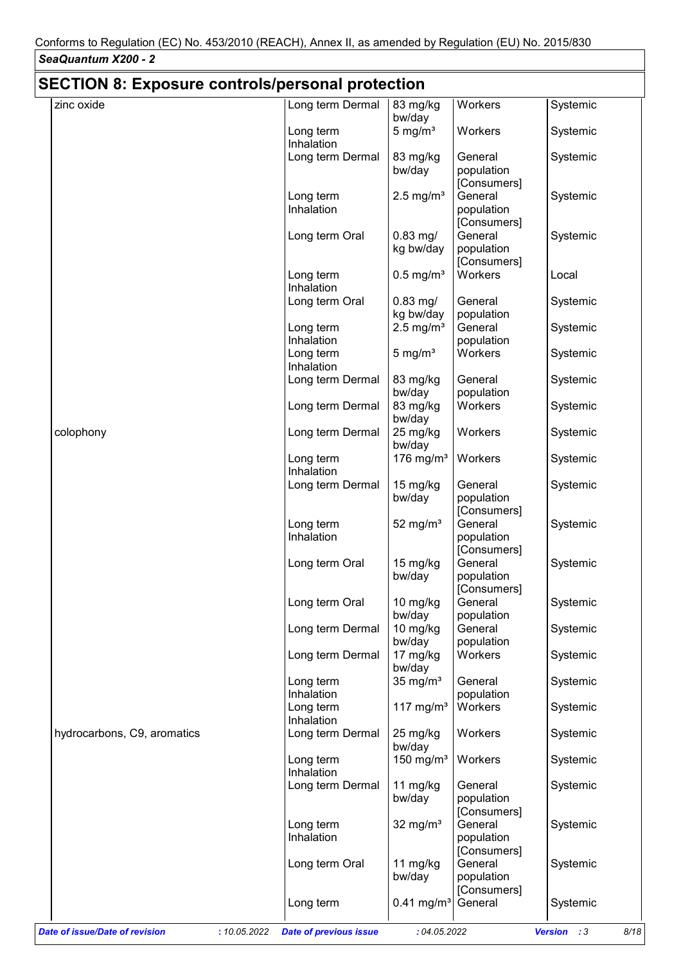| <b>SECTION 8: Exposure controls/personal protection</b> |                  |                          |             |          |
|---------------------------------------------------------|------------------|--------------------------|-------------|----------|
| zinc oxide                                              | Long term Dermal | 83 mg/kg                 | Workers     | Systemic |
|                                                         |                  | bw/day                   |             |          |
|                                                         | Long term        | $5 \text{ mg/m}^3$       | Workers     | Systemic |
|                                                         | Inhalation       |                          |             |          |
|                                                         | Long term Dermal | 83 mg/kg                 | General     | Systemic |
|                                                         |                  | bw/day                   | population  |          |
|                                                         |                  |                          | [Consumers] |          |
|                                                         | Long term        | $2.5$ mg/m <sup>3</sup>  | General     | Systemic |
|                                                         | Inhalation       |                          | population  |          |
|                                                         |                  |                          | [Consumers] |          |
|                                                         | Long term Oral   | $0.83$ mg/               | General     | Systemic |
|                                                         |                  | kg bw/day                | population  |          |
|                                                         |                  |                          | [Consumers] |          |
|                                                         | Long term        | $0.5$ mg/m <sup>3</sup>  | Workers     | Local    |
|                                                         | Inhalation       |                          |             |          |
|                                                         | Long term Oral   | $0.83$ mg/               | General     | Systemic |
|                                                         |                  | kg bw/day                | population  |          |
|                                                         | Long term        | $2.5 \text{ mg/m}^3$     | General     | Systemic |
|                                                         | Inhalation       |                          | population  |          |
|                                                         | Long term        | 5 mg/ $m3$               | Workers     | Systemic |
|                                                         | Inhalation       |                          |             |          |
|                                                         | Long term Dermal | 83 mg/kg                 | General     | Systemic |
|                                                         |                  | bw/day                   | population  |          |
|                                                         | Long term Dermal | 83 mg/kg                 | Workers     | Systemic |
|                                                         |                  | bw/day                   |             |          |
| colophony                                               | Long term Dermal | 25 mg/kg                 | Workers     | Systemic |
|                                                         |                  | bw/day                   |             |          |
|                                                         | Long term        | 176 mg/ $m3$             | Workers     | Systemic |
|                                                         | Inhalation       |                          |             |          |
|                                                         | Long term Dermal | 15 mg/kg                 | General     | Systemic |
|                                                         |                  | bw/day                   | population  |          |
|                                                         |                  |                          | [Consumers] |          |
|                                                         | Long term        | 52 mg/ $m3$              | General     | Systemic |
|                                                         | Inhalation       |                          | population  |          |
|                                                         |                  |                          | [Consumers] |          |
|                                                         | Long term Oral   | 15 mg/kg                 | General     | Systemic |
|                                                         |                  | bw/day                   | population  |          |
|                                                         |                  |                          | [Consumers] |          |
|                                                         | Long term Oral   | 10 mg/kg                 | General     | Systemic |
|                                                         |                  | bw/day                   | population  |          |
|                                                         | Long term Dermal | 10 mg/kg                 | General     | Systemic |
|                                                         |                  | bw/day                   | population  |          |
|                                                         | Long term Dermal | 17 mg/kg                 | Workers     | Systemic |
|                                                         |                  | bw/day                   |             |          |
|                                                         | Long term        | 35 mg/ $m3$              | General     | Systemic |
|                                                         | Inhalation       |                          | population  |          |
|                                                         | Long term        | 117 mg/ $m3$             | Workers     | Systemic |
|                                                         | Inhalation       |                          |             |          |
| hydrocarbons, C9, aromatics                             | Long term Dermal | 25 mg/kg                 | Workers     | Systemic |
|                                                         |                  | bw/day                   |             |          |
|                                                         | Long term        | 150 mg/ $m3$             | Workers     | Systemic |
|                                                         | Inhalation       |                          |             |          |
|                                                         | Long term Dermal | 11 mg/kg                 | General     | Systemic |
|                                                         |                  | bw/day                   | population  |          |
|                                                         |                  |                          | [Consumers] |          |
|                                                         | Long term        | 32 mg/ $m3$              | General     | Systemic |
|                                                         | Inhalation       |                          | population  |          |
|                                                         |                  |                          | [Consumers] |          |
|                                                         | Long term Oral   | 11 $mg/kg$               | General     | Systemic |
|                                                         |                  | bw/day                   | population  |          |
|                                                         |                  |                          | [Consumers] |          |
|                                                         |                  |                          |             |          |
|                                                         | Long term        | $0.41$ mg/m <sup>3</sup> | General     | Systemic |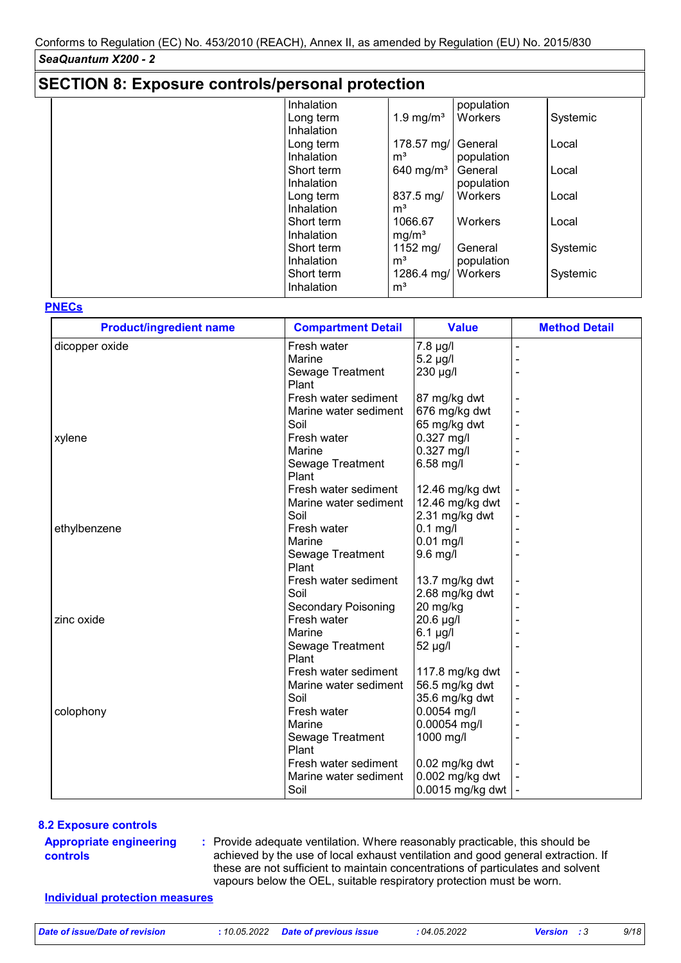## **SECTION 8: Exposure controls/personal protection**

|  | Inhalation |                   | population |          |
|--|------------|-------------------|------------|----------|
|  | Long term  | 1.9 mg/ $m3$      | Workers    | Systemic |
|  | Inhalation |                   |            |          |
|  | Long term  | 178.57 mg/        | General    | Local    |
|  | Inhalation | m <sup>3</sup>    | population |          |
|  | Short term | 640 mg/ $m3$      | General    | Local    |
|  | Inhalation |                   | population |          |
|  | Long term  | 837.5 mg/         | Workers    | Local    |
|  | Inhalation | m <sup>3</sup>    |            |          |
|  | Short term | 1066.67           | Workers    | Local    |
|  | Inhalation | mg/m <sup>3</sup> |            |          |
|  | Short term | 1152 mg/          | General    | Systemic |
|  | Inhalation | m <sup>3</sup>    | population |          |
|  | Short term | 1286.4 mg/        | Workers    | Systemic |
|  | Inhalation | m <sup>3</sup>    |            |          |
|  |            |                   |            |          |

#### **PNECs**

| <b>Product/ingredient name</b> | <b>Compartment Detail</b>  | <b>Value</b>       | <b>Method Detail</b> |
|--------------------------------|----------------------------|--------------------|----------------------|
| dicopper oxide                 | Fresh water                | 7.8 µg/l           |                      |
|                                | Marine                     | 5.2 µg/l           |                      |
|                                | Sewage Treatment           | 230 µg/l           |                      |
|                                | Plant                      |                    |                      |
|                                | Fresh water sediment       | 87 mg/kg dwt       |                      |
|                                | Marine water sediment      | 676 mg/kg dwt      |                      |
|                                | Soil                       | 65 mg/kg dwt       |                      |
| xylene                         | Fresh water                | $0.327$ mg/l       |                      |
|                                | Marine                     | 0.327 mg/l         |                      |
|                                | Sewage Treatment           | 6.58 mg/l          |                      |
|                                | Plant                      |                    |                      |
|                                | Fresh water sediment       | 12.46 mg/kg dwt    |                      |
|                                | Marine water sediment      | 12.46 mg/kg dwt    |                      |
|                                | Soil                       | 2.31 mg/kg dwt     |                      |
| ethylbenzene                   | Fresh water                | 0.1 mg/l           |                      |
|                                | Marine                     | $0.01$ mg/l        |                      |
|                                | Sewage Treatment           | 9.6 mg/l           |                      |
|                                | Plant                      |                    |                      |
|                                | Fresh water sediment       | 13.7 mg/kg dwt     |                      |
|                                | Soil                       | 2.68 mg/kg dwt     |                      |
|                                | <b>Secondary Poisoning</b> | 20 mg/kg           |                      |
| zinc oxide                     | Fresh water                | 20.6 µg/l          |                      |
|                                | Marine                     | $6.1$ µg/l         |                      |
|                                | Sewage Treatment           | 52 µg/l            |                      |
|                                | Plant                      |                    |                      |
|                                | Fresh water sediment       | 117.8 mg/kg dwt    |                      |
|                                | Marine water sediment      | 56.5 mg/kg dwt     |                      |
|                                | Soil                       | 35.6 mg/kg dwt     |                      |
| colophony                      | Fresh water                | $0.0054$ mg/l      |                      |
|                                | Marine                     | 0.00054 mg/l       |                      |
|                                | Sewage Treatment           | 1000 mg/l          |                      |
|                                | Plant                      |                    |                      |
|                                | Fresh water sediment       | 0.02 mg/kg dwt     |                      |
|                                | Marine water sediment      | 0.002 mg/kg dwt    |                      |
|                                | Soil                       | $0.0015$ mg/kg dwt |                      |

#### **8.2 Exposure controls**

#### **Appropriate engineering controls**

Provide adequate ventilation. Where reasonably practicable, this should be **:** achieved by the use of local exhaust ventilation and good general extraction. If these are not sufficient to maintain concentrations of particulates and solvent vapours below the OEL, suitable respiratory protection must be worn.

#### **Individual protection measures**

*Date of issue/Date of revision* **:** *10.05.2022 Date of previous issue : 04.05.2022 Version : 3 9/18*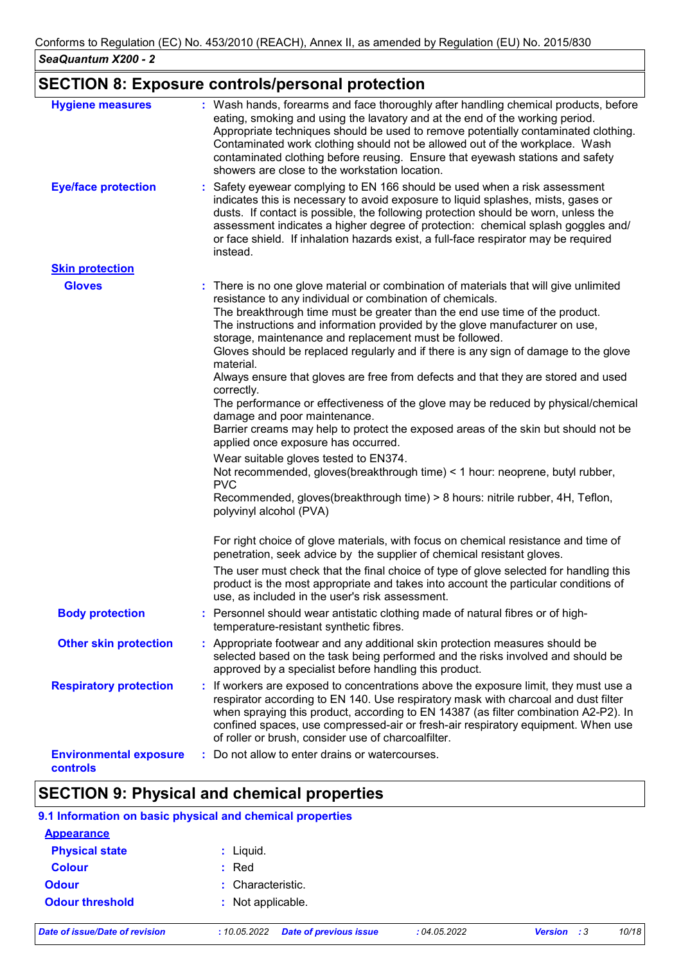## **SECTION 8: Exposure controls/personal protection**

| <b>Hygiene measures</b>                   | : Wash hands, forearms and face thoroughly after handling chemical products, before<br>eating, smoking and using the lavatory and at the end of the working period.<br>Appropriate techniques should be used to remove potentially contaminated clothing.<br>Contaminated work clothing should not be allowed out of the workplace. Wash<br>contaminated clothing before reusing. Ensure that eyewash stations and safety<br>showers are close to the workstation location.                                                                                                                                                                                                                                                                                                                                                                                                                                                                                                                                                                                                            |
|-------------------------------------------|----------------------------------------------------------------------------------------------------------------------------------------------------------------------------------------------------------------------------------------------------------------------------------------------------------------------------------------------------------------------------------------------------------------------------------------------------------------------------------------------------------------------------------------------------------------------------------------------------------------------------------------------------------------------------------------------------------------------------------------------------------------------------------------------------------------------------------------------------------------------------------------------------------------------------------------------------------------------------------------------------------------------------------------------------------------------------------------|
| <b>Eye/face protection</b>                | Safety eyewear complying to EN 166 should be used when a risk assessment<br>indicates this is necessary to avoid exposure to liquid splashes, mists, gases or<br>dusts. If contact is possible, the following protection should be worn, unless the<br>assessment indicates a higher degree of protection: chemical splash goggles and/<br>or face shield. If inhalation hazards exist, a full-face respirator may be required<br>instead.                                                                                                                                                                                                                                                                                                                                                                                                                                                                                                                                                                                                                                             |
| <b>Skin protection</b>                    |                                                                                                                                                                                                                                                                                                                                                                                                                                                                                                                                                                                                                                                                                                                                                                                                                                                                                                                                                                                                                                                                                        |
| <b>Gloves</b>                             | : There is no one glove material or combination of materials that will give unlimited<br>resistance to any individual or combination of chemicals.<br>The breakthrough time must be greater than the end use time of the product.<br>The instructions and information provided by the glove manufacturer on use,<br>storage, maintenance and replacement must be followed.<br>Gloves should be replaced regularly and if there is any sign of damage to the glove<br>material.<br>Always ensure that gloves are free from defects and that they are stored and used<br>correctly.<br>The performance or effectiveness of the glove may be reduced by physical/chemical<br>damage and poor maintenance.<br>Barrier creams may help to protect the exposed areas of the skin but should not be<br>applied once exposure has occurred.<br>Wear suitable gloves tested to EN374.<br>Not recommended, gloves(breakthrough time) < 1 hour: neoprene, butyl rubber,<br><b>PVC</b><br>Recommended, gloves(breakthrough time) > 8 hours: nitrile rubber, 4H, Teflon,<br>polyvinyl alcohol (PVA) |
|                                           | For right choice of glove materials, with focus on chemical resistance and time of<br>penetration, seek advice by the supplier of chemical resistant gloves.                                                                                                                                                                                                                                                                                                                                                                                                                                                                                                                                                                                                                                                                                                                                                                                                                                                                                                                           |
|                                           | The user must check that the final choice of type of glove selected for handling this<br>product is the most appropriate and takes into account the particular conditions of<br>use, as included in the user's risk assessment.                                                                                                                                                                                                                                                                                                                                                                                                                                                                                                                                                                                                                                                                                                                                                                                                                                                        |
| <b>Body protection</b>                    | : Personnel should wear antistatic clothing made of natural fibres or of high-<br>temperature-resistant synthetic fibres.                                                                                                                                                                                                                                                                                                                                                                                                                                                                                                                                                                                                                                                                                                                                                                                                                                                                                                                                                              |
| <b>Other skin protection</b>              | : Appropriate footwear and any additional skin protection measures should be<br>selected based on the task being performed and the risks involved and should be<br>approved by a specialist before handling this product.                                                                                                                                                                                                                                                                                                                                                                                                                                                                                                                                                                                                                                                                                                                                                                                                                                                              |
| <b>Respiratory protection</b>             | : If workers are exposed to concentrations above the exposure limit, they must use a<br>respirator according to EN 140. Use respiratory mask with charcoal and dust filter<br>when spraying this product, according to EN 14387 (as filter combination A2-P2). In<br>confined spaces, use compressed-air or fresh-air respiratory equipment. When use<br>of roller or brush, consider use of charcoalfilter.                                                                                                                                                                                                                                                                                                                                                                                                                                                                                                                                                                                                                                                                           |
| <b>Environmental exposure</b><br>controls | Do not allow to enter drains or watercourses.                                                                                                                                                                                                                                                                                                                                                                                                                                                                                                                                                                                                                                                                                                                                                                                                                                                                                                                                                                                                                                          |

# **SECTION 9: Physical and chemical properties**

|                        | 9.1 Information on basic physical and chemical properties |
|------------------------|-----------------------------------------------------------|
| <b>Appearance</b>      |                                                           |
| <b>Physical state</b>  | : Liquid.                                                 |
| <b>Colour</b>          | $:$ Red                                                   |
| <b>Odour</b>           | : Characteristic.                                         |
| <b>Odour threshold</b> | : Not applicable.                                         |
|                        |                                                           |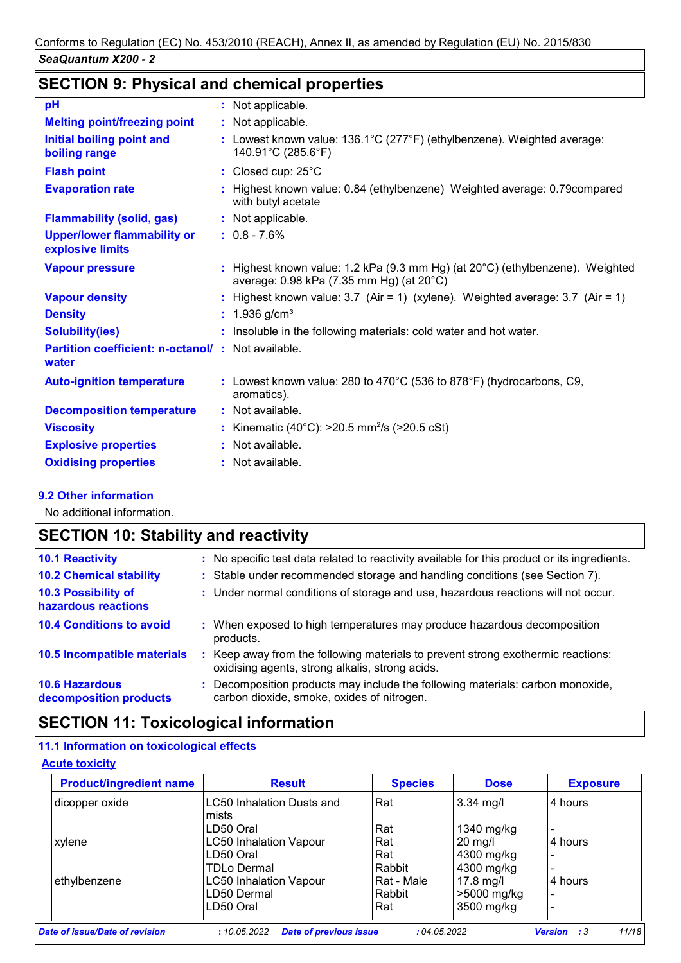## **SECTION 9: Physical and chemical properties**

| pH                                                                | : Not applicable.                                                                                                                   |
|-------------------------------------------------------------------|-------------------------------------------------------------------------------------------------------------------------------------|
| <b>Melting point/freezing point</b>                               | : Not applicable.                                                                                                                   |
| Initial boiling point and<br>boiling range                        | : Lowest known value: 136.1°C (277°F) (ethylbenzene). Weighted average:<br>140.91°C (285.6°F)                                       |
| <b>Flash point</b>                                                | : Closed cup: $25^{\circ}$ C                                                                                                        |
| <b>Evaporation rate</b>                                           | Highest known value: 0.84 (ethylbenzene) Weighted average: 0.79 compared<br>with butyl acetate                                      |
| <b>Flammability (solid, gas)</b>                                  | : Not applicable.                                                                                                                   |
| <b>Upper/lower flammability or</b><br>explosive limits            | $: 0.8 - 7.6\%$                                                                                                                     |
| <b>Vapour pressure</b>                                            | : Highest known value: 1.2 kPa (9.3 mm Hg) (at $20^{\circ}$ C) (ethylbenzene). Weighted<br>average: 0.98 kPa (7.35 mm Hg) (at 20°C) |
| <b>Vapour density</b>                                             | : Highest known value: $3.7$ (Air = 1) (xylene). Weighted average: $3.7$ (Air = 1)                                                  |
| <b>Density</b>                                                    | : $1.936$ g/cm <sup>3</sup>                                                                                                         |
| <b>Solubility(ies)</b>                                            | : Insoluble in the following materials: cold water and hot water.                                                                   |
| <b>Partition coefficient: n-octanol/: Not available.</b><br>water |                                                                                                                                     |
| <b>Auto-ignition temperature</b>                                  | : Lowest known value: 280 to 470°C (536 to 878°F) (hydrocarbons, C9,<br>aromatics).                                                 |
| <b>Decomposition temperature</b>                                  | : Not available.                                                                                                                    |
| <b>Viscosity</b>                                                  | : Kinematic (40°C): $>20.5$ mm <sup>2</sup> /s ( $>20.5$ cSt)                                                                       |
| <b>Explosive properties</b>                                       | : Not available.                                                                                                                    |
| <b>Oxidising properties</b>                                       | : Not available.                                                                                                                    |
|                                                                   |                                                                                                                                     |

#### **9.2 Other information**

No additional information.

## **SECTION 10: Stability and reactivity**

| <b>10.1 Reactivity</b>                          | : No specific test data related to reactivity available for this product or its ingredients.                                        |
|-------------------------------------------------|-------------------------------------------------------------------------------------------------------------------------------------|
| <b>10.2 Chemical stability</b>                  | : Stable under recommended storage and handling conditions (see Section 7).                                                         |
| 10.3 Possibility of<br>hazardous reactions      | : Under normal conditions of storage and use, hazardous reactions will not occur.                                                   |
| <b>10.4 Conditions to avoid</b>                 | : When exposed to high temperatures may produce hazardous decomposition<br>products.                                                |
| 10.5 Incompatible materials                     | : Keep away from the following materials to prevent strong exothermic reactions:<br>oxidising agents, strong alkalis, strong acids. |
| <b>10.6 Hazardous</b><br>decomposition products | : Decomposition products may include the following materials: carbon monoxide,<br>carbon dioxide, smoke, oxides of nitrogen.        |

## **SECTION 11: Toxicological information**

#### **11.1 Information on toxicological effects**

#### **Acute toxicity**

| <b>Product/ingredient name</b> | <b>Result</b>                 | <b>Species</b>    | <b>Dose</b> | <b>Exposure</b> |
|--------------------------------|-------------------------------|-------------------|-------------|-----------------|
| dicopper oxide                 | LC50 Inhalation Dusts and     | Rat               | $3.34$ mg/l | 4 hours         |
|                                | mists                         |                   |             |                 |
|                                | LD50 Oral                     | Rat               | 1340 mg/kg  |                 |
| xylene                         | <b>LC50 Inhalation Vapour</b> | Rat               | $20$ mg/l   | 4 hours         |
|                                | LD50 Oral                     | Rat               | 4300 mg/kg  |                 |
|                                | TDLo Dermal                   | Rabbit            | 4300 mg/kg  |                 |
| ethylbenzene                   | <b>LC50 Inhalation Vapour</b> | <b>Rat - Male</b> | $17.8$ mg/l | 4 hours         |
|                                | LD50 Dermal                   | Rabbit            | >5000 mg/kg | ۰               |
|                                | LD50 Oral                     | Rat               | 3500 mg/kg  |                 |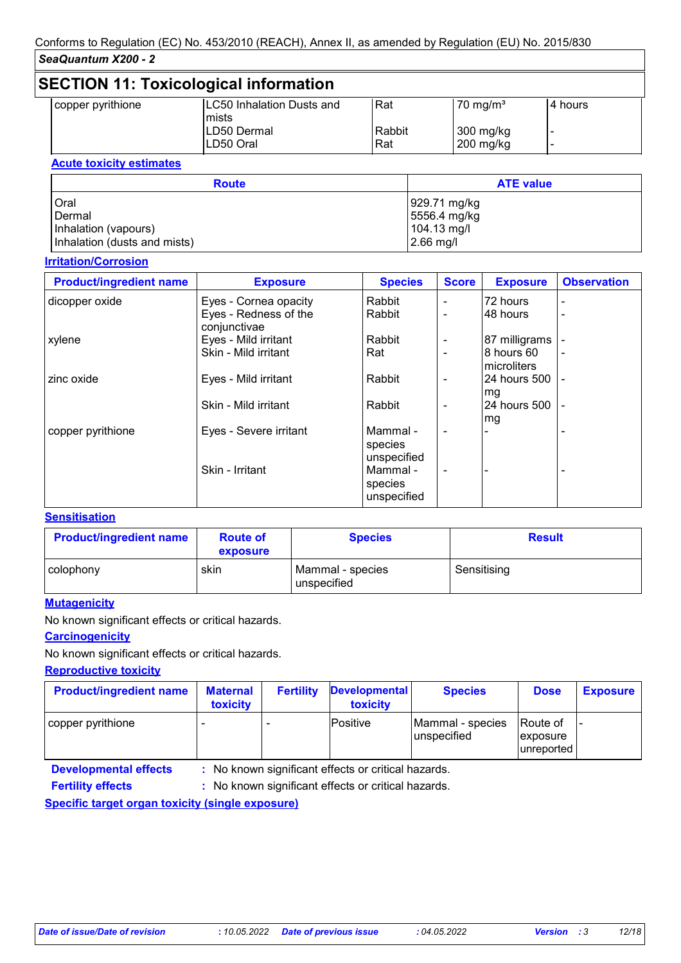## **SECTION 11: Toxicological information**

| copper pyrithione | <b>LC50 Inhalation Dusts and</b> | Rat    | $70 \text{ mg/m}^3$ | l4 hours |
|-------------------|----------------------------------|--------|---------------------|----------|
|                   | mists                            |        |                     |          |
|                   | LD50 Dermal                      | Rabbit | 300 mg/kg           |          |
|                   | LD50 Oral                        | Rat    | 200 mg/kg           |          |
|                   |                                  |        |                     |          |

#### **Acute toxicity estimates**

| <b>Route</b>                 | <b>ATE value</b> |
|------------------------------|------------------|
| Oral                         | 929.71 mg/kg     |
| Dermal                       | 5556.4 mg/kg     |
| Inhalation (vapours)         | $104.13$ mg/l    |
| Inhalation (dusts and mists) | $2.66$ mg/l      |

#### **Irritation/Corrosion**

| <b>Product/ingredient name</b> | <b>Exposure</b>                       | <b>Species</b>                     | <b>Score</b>             | <b>Exposure</b>           | <b>Observation</b>       |
|--------------------------------|---------------------------------------|------------------------------------|--------------------------|---------------------------|--------------------------|
| dicopper oxide                 | Eyes - Cornea opacity                 | Rabbit                             | $\blacksquare$           | 72 hours                  |                          |
|                                | Eyes - Redness of the<br>conjunctivae | Rabbit                             | $\blacksquare$           | 48 hours                  |                          |
| xylene                         | Eyes - Mild irritant                  | Rabbit                             | $\overline{\phantom{a}}$ | 87 milligrams             |                          |
|                                | Skin - Mild irritant                  | Rat                                | $\blacksquare$           | 8 hours 60<br>microliters | $\overline{\phantom{a}}$ |
| zinc oxide                     | Eyes - Mild irritant                  | Rabbit                             |                          | 24 hours 500<br>mg        | $\blacksquare$           |
|                                | Skin - Mild irritant                  | Rabbit                             | $\overline{\phantom{a}}$ | 24 hours 500<br>mg        | $\blacksquare$           |
| copper pyrithione              | Eyes - Severe irritant                | Mammal -<br>species<br>unspecified | $\blacksquare$           |                           |                          |
|                                | Skin - Irritant                       | Mammal -<br>species<br>unspecified | $\blacksquare$           |                           |                          |

#### **Sensitisation**

| <b>Product/ingredient name</b> | <b>Route of</b><br>exposure | <b>Species</b>                  | <b>Result</b> |
|--------------------------------|-----------------------------|---------------------------------|---------------|
| colophony                      | skin                        | Mammal - species<br>unspecified | Sensitising   |

#### **Mutagenicity**

No known significant effects or critical hazards.

# **Carcinogenicity**

No known significant effects or critical hazards.

**Reproductive toxicity**

| <b>Product/ingredient name</b> | <b>Maternal</b><br><b>toxicity</b> | <b>Fertility</b> | <b>Developmental</b><br>toxicity | <b>Species</b>                  | <b>Dose</b>                        | <b>Exposure</b> |
|--------------------------------|------------------------------------|------------------|----------------------------------|---------------------------------|------------------------------------|-----------------|
| copper pyrithione              |                                    |                  | <b>Positive</b>                  | Mammal - species<br>unspecified | Route of<br>exposure<br>unreported |                 |

**Developmental effects :**

: No known significant effects or critical hazards.

: No known significant effects or critical hazards. **Fertility effects :**

**Specific target organ toxicity (single exposure)**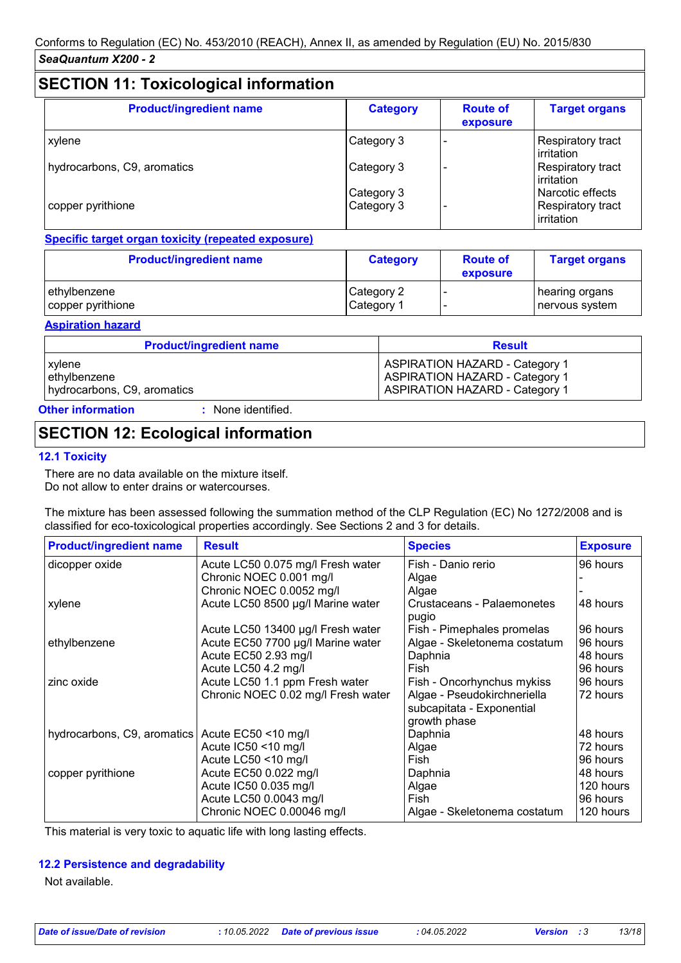## **SECTION 11: Toxicological information**

| <b>Product/ingredient name</b> | <b>Category</b> | <b>Route of</b><br>exposure | <b>Target organs</b>            |
|--------------------------------|-----------------|-----------------------------|---------------------------------|
| xylene                         | Category 3      |                             | Respiratory tract<br>irritation |
| hydrocarbons, C9, aromatics    | Category 3      |                             | Respiratory tract<br>irritation |
|                                | Category 3      |                             | Narcotic effects                |
| copper pyrithione              | Category 3      |                             | Respiratory tract<br>irritation |

#### **Specific target organ toxicity (repeated exposure)**

| <b>Product/ingredient name</b> | <b>Category</b> | <b>Route of</b><br>exposure | <b>Target organs</b> |
|--------------------------------|-----------------|-----------------------------|----------------------|
| ethylbenzene                   | Category 2      |                             | hearing organs       |
| copper pyrithione              | Category 1      |                             | ∣nervous system      |

#### **Aspiration hazard**

| <b>Product/ingredient name</b> | <b>Result</b>                         |
|--------------------------------|---------------------------------------|
| ∣ xylene                       | <b>ASPIRATION HAZARD - Category 1</b> |
| ethylbenzene                   | <b>ASPIRATION HAZARD - Category 1</b> |
| hydrocarbons, C9, aromatics    | <b>ASPIRATION HAZARD - Category 1</b> |

## **Other information :**

: None identified.

### **SECTION 12: Ecological information**

#### **12.1 Toxicity**

There are no data available on the mixture itself. Do not allow to enter drains or watercourses.

The mixture has been assessed following the summation method of the CLP Regulation (EC) No 1272/2008 and is classified for eco-toxicological properties accordingly. See Sections 2 and 3 for details.

| <b>Product/ingredient name</b> | <b>Result</b>                      | <b>Species</b>                      | <b>Exposure</b> |
|--------------------------------|------------------------------------|-------------------------------------|-----------------|
| dicopper oxide                 | Acute LC50 0.075 mg/l Fresh water  | Fish - Danio rerio                  | 96 hours        |
|                                | Chronic NOEC 0.001 mg/l            | Algae                               |                 |
|                                | Chronic NOEC 0.0052 mg/l           | Algae                               |                 |
| xylene                         | Acute LC50 8500 µg/l Marine water  | Crustaceans - Palaemonetes<br>pugio | 48 hours        |
|                                | Acute LC50 13400 µg/l Fresh water  | Fish - Pimephales promelas          | 96 hours        |
| ethylbenzene                   | Acute EC50 7700 µg/l Marine water  | Algae - Skeletonema costatum        | 96 hours        |
|                                | Acute EC50 2.93 mg/l               | Daphnia                             | 48 hours        |
|                                | Acute LC50 4.2 mg/l                | Fish                                | 96 hours        |
| zinc oxide                     | Acute LC50 1.1 ppm Fresh water     | Fish - Oncorhynchus mykiss          | 96 hours        |
|                                | Chronic NOEC 0.02 mg/l Fresh water | Algae - Pseudokirchneriella         | 72 hours        |
|                                |                                    | subcapitata - Exponential           |                 |
|                                |                                    | growth phase                        |                 |
| hydrocarbons, C9, aromatics    | Acute EC50 <10 mg/l                | Daphnia                             | 48 hours        |
|                                | Acute IC50 <10 mg/l                | Algae                               | 72 hours        |
|                                | Acute LC50 <10 mg/l                | Fish.                               | 96 hours        |
| copper pyrithione              | Acute EC50 0.022 mg/l              | Daphnia                             | 48 hours        |
|                                | Acute IC50 0.035 mg/l              | Algae                               | 120 hours       |
|                                | Acute LC50 0.0043 mg/l             | Fish                                | 96 hours        |
|                                | Chronic NOEC 0.00046 mg/l          | Algae - Skeletonema costatum        | 120 hours       |

This material is very toxic to aquatic life with long lasting effects.

#### **12.2 Persistence and degradability**

Not available.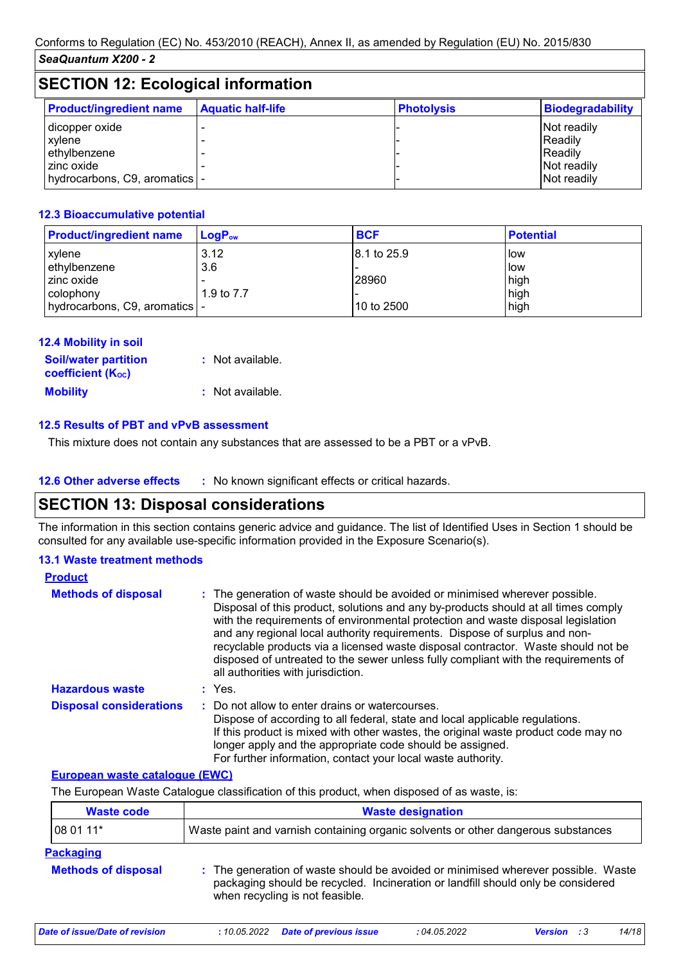| <b>SECTION 12: Ecological information</b>                                                   |                          |                   |                                                                 |  |
|---------------------------------------------------------------------------------------------|--------------------------|-------------------|-----------------------------------------------------------------|--|
| <b>Product/ingredient name</b>                                                              | <b>Aquatic half-life</b> | <b>Photolysis</b> | <b>Biodegradability</b>                                         |  |
| I dicopper oxide<br>xylene<br>ethylbenzene<br>zinc oxide<br>hydrocarbons, C9, aromatics   - |                          |                   | Not readily<br>Readily<br>Readily<br>Not readily<br>Not readily |  |

#### **12.3 Bioaccumulative potential**

| <b>Product/ingredient name</b>  | $LoaPow$   | <b>BCF</b>   | <b>Potential</b> |
|---------------------------------|------------|--------------|------------------|
| xylene                          | 3.12       | 18.1 to 25.9 | low              |
| ethylbenzene                    | 3.6        |              | low              |
| zinc oxide                      |            | 28960        | high             |
| colophony                       | 1.9 to 7.7 |              | high             |
| hydrocarbons, C9, aromatics   - |            | 10 to 2500   | high             |

| <b>12.4 Mobility in soil</b>                            |                  |
|---------------------------------------------------------|------------------|
| <b>Soil/water partition</b><br><b>coefficient (Koc)</b> | : Not available. |
| <b>Mobility</b>                                         | : Not available. |

#### **12.5 Results of PBT and vPvB assessment**

This mixture does not contain any substances that are assessed to be a PBT or a vPvB.

| <b>12.6 Other adverse effects</b> | No known significant effects or critical hazards. |
|-----------------------------------|---------------------------------------------------|
|-----------------------------------|---------------------------------------------------|

## **SECTION 13: Disposal considerations**

The information in this section contains generic advice and guidance. The list of Identified Uses in Section 1 should be consulted for any available use-specific information provided in the Exposure Scenario(s).

#### **13.1 Waste treatment methods**

| <b>Product</b>                 |                                                                                                                                                                                                                                                                                                                                                                                                                                                                                                                                                      |
|--------------------------------|------------------------------------------------------------------------------------------------------------------------------------------------------------------------------------------------------------------------------------------------------------------------------------------------------------------------------------------------------------------------------------------------------------------------------------------------------------------------------------------------------------------------------------------------------|
| <b>Methods of disposal</b>     | : The generation of waste should be avoided or minimised wherever possible.<br>Disposal of this product, solutions and any by-products should at all times comply<br>with the requirements of environmental protection and waste disposal legislation<br>and any regional local authority requirements. Dispose of surplus and non-<br>recyclable products via a licensed waste disposal contractor. Waste should not be<br>disposed of untreated to the sewer unless fully compliant with the requirements of<br>all authorities with jurisdiction. |
| <b>Hazardous waste</b>         | : Yes.                                                                                                                                                                                                                                                                                                                                                                                                                                                                                                                                               |
| <b>Disposal considerations</b> | : Do not allow to enter drains or watercourses.<br>Dispose of according to all federal, state and local applicable regulations.<br>If this product is mixed with other wastes, the original waste product code may no<br>longer apply and the appropriate code should be assigned.<br>For further information, contact your local waste authority.                                                                                                                                                                                                   |

#### **European waste catalogue (EWC)**

The European Waste Catalogue classification of this product, when disposed of as waste, is:

| <b>Waste code</b>                              | <b>Waste designation</b>                                                          |  |                                                                                                                                                                       |  |  |  |
|------------------------------------------------|-----------------------------------------------------------------------------------|--|-----------------------------------------------------------------------------------------------------------------------------------------------------------------------|--|--|--|
| 08 01 11*                                      | Waste paint and varnish containing organic solvents or other dangerous substances |  |                                                                                                                                                                       |  |  |  |
| <b>Packaging</b><br><b>Methods of disposal</b> | when recycling is not feasible.                                                   |  | : The generation of waste should be avoided or minimised wherever possible. Waste<br>packaging should be recycled. Incineration or landfill should only be considered |  |  |  |
|                                                |                                                                                   |  |                                                                                                                                                                       |  |  |  |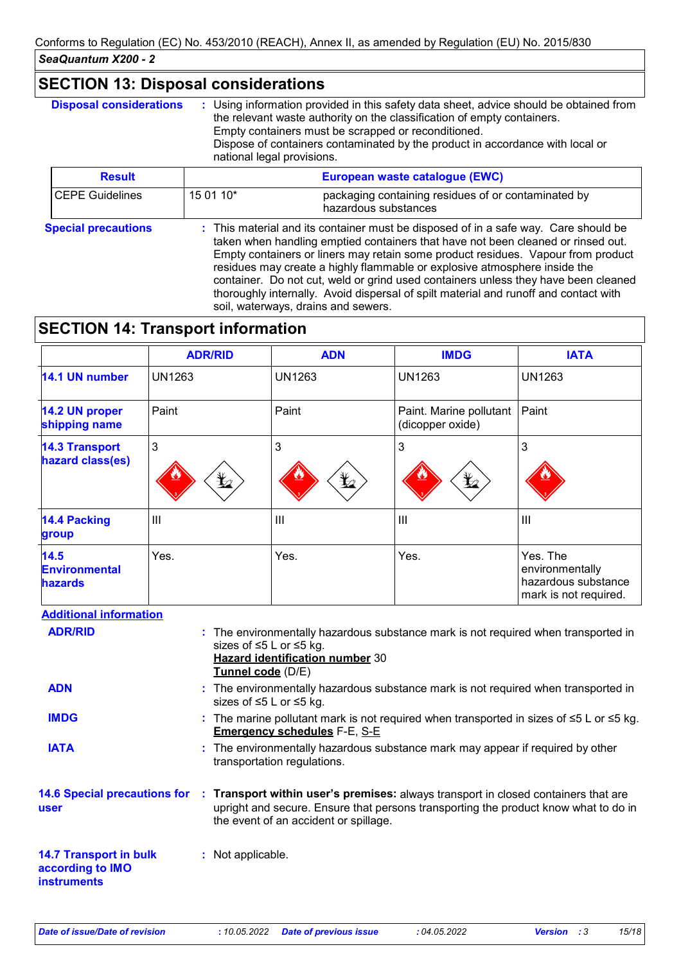## **SECTION 13: Disposal considerations**

| <b>Disposal considerations</b> | national legal provisions.                                                                                                                                                                                                                                                                                                                                                                                                                                                                                                                                    | : Using information provided in this safety data sheet, advice should be obtained from<br>the relevant waste authority on the classification of empty containers.<br>Empty containers must be scrapped or reconditioned.<br>Dispose of containers contaminated by the product in accordance with local or |
|--------------------------------|---------------------------------------------------------------------------------------------------------------------------------------------------------------------------------------------------------------------------------------------------------------------------------------------------------------------------------------------------------------------------------------------------------------------------------------------------------------------------------------------------------------------------------------------------------------|-----------------------------------------------------------------------------------------------------------------------------------------------------------------------------------------------------------------------------------------------------------------------------------------------------------|
| <b>Result</b>                  |                                                                                                                                                                                                                                                                                                                                                                                                                                                                                                                                                               | European waste catalogue (EWC)                                                                                                                                                                                                                                                                            |
| <b>CEPE Guidelines</b>         | 15 01 10*                                                                                                                                                                                                                                                                                                                                                                                                                                                                                                                                                     | packaging containing residues of or contaminated by<br>hazardous substances                                                                                                                                                                                                                               |
| <b>Special precautions</b>     | : This material and its container must be disposed of in a safe way. Care should be<br>taken when handling emptied containers that have not been cleaned or rinsed out.<br>Empty containers or liners may retain some product residues. Vapour from product<br>residues may create a highly flammable or explosive atmosphere inside the<br>container. Do not cut, weld or grind used containers unless they have been cleaned<br>thoroughly internally. Avoid dispersal of spilt material and runoff and contact with<br>soil, waterways, drains and sewers. |                                                                                                                                                                                                                                                                                                           |

## **SECTION 14: Transport information**

|                                                | <b>ADR/RID</b>  | <b>ADN</b>      | <b>IMDG</b>                                 | <b>IATA</b>                                                                 |
|------------------------------------------------|-----------------|-----------------|---------------------------------------------|-----------------------------------------------------------------------------|
| 14.1 UN number                                 | <b>UN1263</b>   | <b>UN1263</b>   | <b>UN1263</b>                               | <b>UN1263</b>                                                               |
| 14.2 UN proper<br>shipping name                | Paint           | Paint           | Paint. Marine pollutant<br>(dicopper oxide) | Paint                                                                       |
| <b>14.3 Transport</b><br>hazard class(es)      | 3<br>$\bigstar$ | 3<br>$\bigstar$ | 3<br>$\frac{\psi}{2}$                       | 3                                                                           |
| 14.4 Packing<br>group                          | $\mathbf{III}$  | III             | $\mathbf{III}$                              | $\mathbf{III}$                                                              |
| 14.5<br><b>Environmental</b><br><b>hazards</b> | Yes.            | Yes.            | Yes.                                        | Yes. The<br>environmentally<br>hazardous substance<br>mark is not required. |

#### **Additional information**

| <b>ADR/RID</b>                                                          | : The environmentally hazardous substance mark is not required when transported in<br>sizes of ≤5 L or ≤5 kg.<br><b>Hazard identification number 30</b><br>Tunnel code (D/E)                                       |
|-------------------------------------------------------------------------|--------------------------------------------------------------------------------------------------------------------------------------------------------------------------------------------------------------------|
| <b>ADN</b>                                                              | : The environmentally hazardous substance mark is not required when transported in<br>sizes of ≤5 L or ≤5 kg.                                                                                                      |
| <b>IMDG</b>                                                             | : The marine pollutant mark is not required when transported in sizes of $\leq 5$ L or $\leq 5$ kg.<br><b>Emergency schedules F-E, S-E</b>                                                                         |
| <b>IATA</b>                                                             | : The environmentally hazardous substance mark may appear if required by other<br>transportation regulations.                                                                                                      |
| <b>14.6 Special precautions for</b><br>user                             | : Transport within user's premises: always transport in closed containers that are<br>upright and secure. Ensure that persons transporting the product know what to do in<br>the event of an accident or spillage. |
| <b>14.7 Transport in bulk</b><br>according to IMO<br><b>instruments</b> | : Not applicable.                                                                                                                                                                                                  |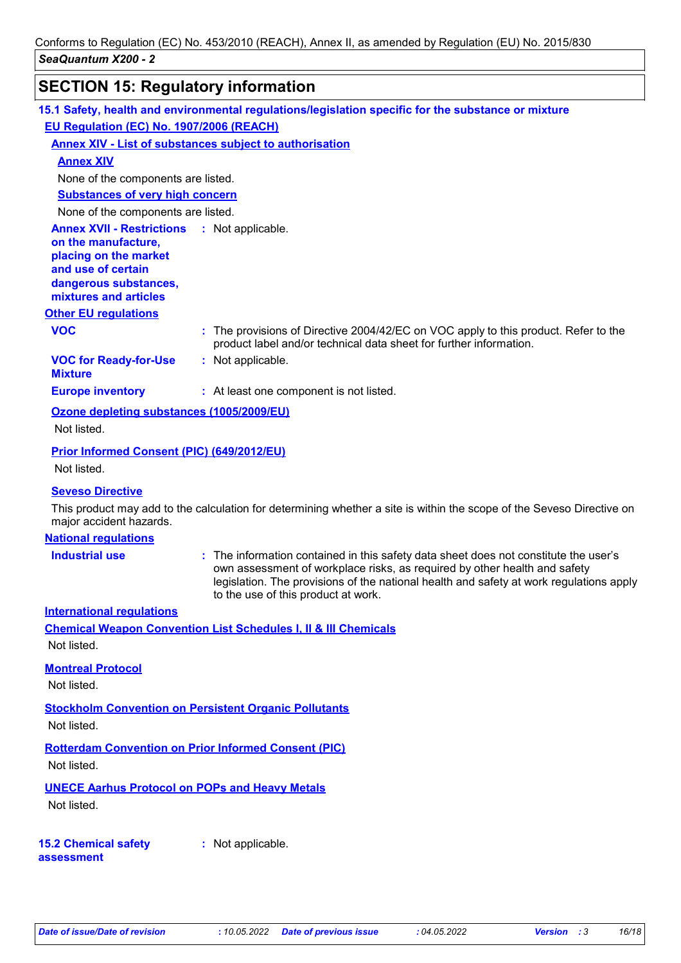# **SECTION 15: Regulatory information**

|                                                                                                                                                                            | 15.1 Safety, health and environmental regulations/legislation specific for the substance or mixture                                                                                                                                                                                                 |
|----------------------------------------------------------------------------------------------------------------------------------------------------------------------------|-----------------------------------------------------------------------------------------------------------------------------------------------------------------------------------------------------------------------------------------------------------------------------------------------------|
| EU Regulation (EC) No. 1907/2006 (REACH)                                                                                                                                   |                                                                                                                                                                                                                                                                                                     |
|                                                                                                                                                                            | <b>Annex XIV - List of substances subject to authorisation</b>                                                                                                                                                                                                                                      |
| <b>Annex XIV</b>                                                                                                                                                           |                                                                                                                                                                                                                                                                                                     |
| None of the components are listed.                                                                                                                                         |                                                                                                                                                                                                                                                                                                     |
| <b>Substances of very high concern</b>                                                                                                                                     |                                                                                                                                                                                                                                                                                                     |
| None of the components are listed.                                                                                                                                         |                                                                                                                                                                                                                                                                                                     |
| <b>Annex XVII - Restrictions : Not applicable.</b><br>on the manufacture,<br>placing on the market<br>and use of certain<br>dangerous substances,<br>mixtures and articles |                                                                                                                                                                                                                                                                                                     |
| <b>Other EU regulations</b>                                                                                                                                                |                                                                                                                                                                                                                                                                                                     |
| <b>VOC</b>                                                                                                                                                                 | : The provisions of Directive 2004/42/EC on VOC apply to this product. Refer to the<br>product label and/or technical data sheet for further information.                                                                                                                                           |
| <b>VOC for Ready-for-Use</b><br><b>Mixture</b>                                                                                                                             | : Not applicable.                                                                                                                                                                                                                                                                                   |
| <b>Europe inventory</b>                                                                                                                                                    | : At least one component is not listed.                                                                                                                                                                                                                                                             |
| Ozone depleting substances (1005/2009/EU)                                                                                                                                  |                                                                                                                                                                                                                                                                                                     |
| Not listed.                                                                                                                                                                |                                                                                                                                                                                                                                                                                                     |
| Prior Informed Consent (PIC) (649/2012/EU)                                                                                                                                 |                                                                                                                                                                                                                                                                                                     |
| Not listed.                                                                                                                                                                |                                                                                                                                                                                                                                                                                                     |
| <b>Seveso Directive</b>                                                                                                                                                    |                                                                                                                                                                                                                                                                                                     |
| major accident hazards.                                                                                                                                                    | This product may add to the calculation for determining whether a site is within the scope of the Seveso Directive on                                                                                                                                                                               |
| <b>National regulations</b>                                                                                                                                                |                                                                                                                                                                                                                                                                                                     |
| <b>Industrial use</b>                                                                                                                                                      | : The information contained in this safety data sheet does not constitute the user's<br>own assessment of workplace risks, as required by other health and safety<br>legislation. The provisions of the national health and safety at work regulations apply<br>to the use of this product at work. |
| <b>International requlations</b>                                                                                                                                           |                                                                                                                                                                                                                                                                                                     |
| Not listed.                                                                                                                                                                | <b>Chemical Weapon Convention List Schedules I, II &amp; III Chemicals</b>                                                                                                                                                                                                                          |
| <b>Montreal Protocol</b><br>Not listed.                                                                                                                                    |                                                                                                                                                                                                                                                                                                     |
| Not listed.                                                                                                                                                                | <b>Stockholm Convention on Persistent Organic Pollutants</b>                                                                                                                                                                                                                                        |
|                                                                                                                                                                            |                                                                                                                                                                                                                                                                                                     |
| Not listed.                                                                                                                                                                | <b>Rotterdam Convention on Prior Informed Consent (PIC)</b>                                                                                                                                                                                                                                         |
| <b>UNECE Aarhus Protocol on POPs and Heavy Metals</b><br>Not listed.                                                                                                       |                                                                                                                                                                                                                                                                                                     |
| <b>15.2 Chemical safety</b><br>assessment                                                                                                                                  | : Not applicable.                                                                                                                                                                                                                                                                                   |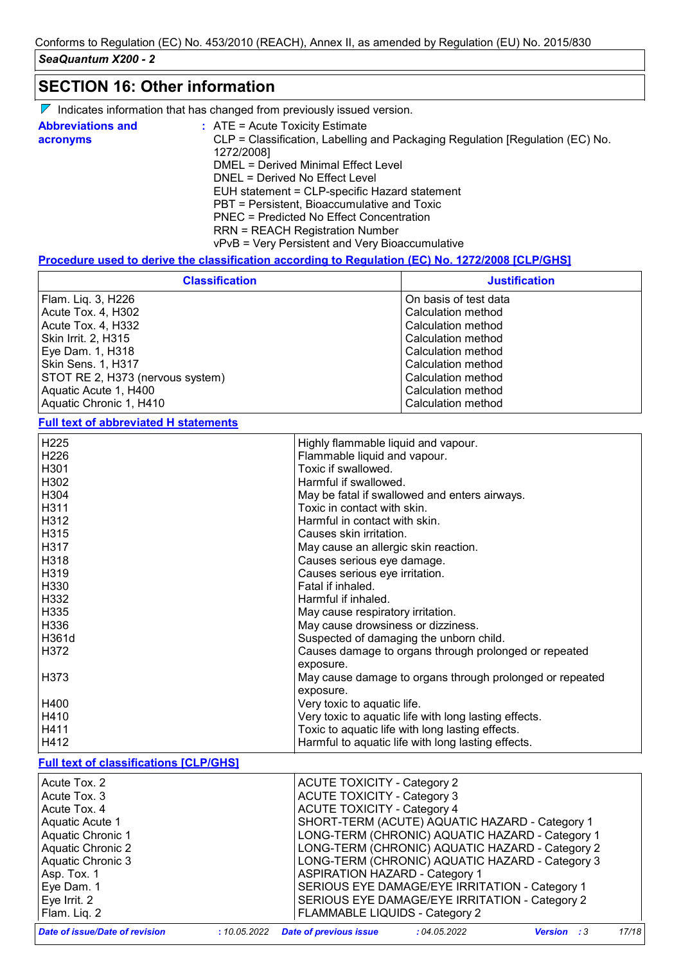## **SECTION 16: Other information**

| $\nabla$ Indicates information that has changed from previously issued version. |  |  |  |  |  |
|---------------------------------------------------------------------------------|--|--|--|--|--|
|---------------------------------------------------------------------------------|--|--|--|--|--|

| <b>Abbreviations and</b><br>acronyms | $:$ ATE = Acute Toxicity Estimate<br>CLP = Classification, Labelling and Packaging Regulation [Regulation (EC) No. |
|--------------------------------------|--------------------------------------------------------------------------------------------------------------------|
|                                      | 1272/2008]<br>DMEL = Derived Minimal Effect Level                                                                  |
|                                      |                                                                                                                    |
|                                      | DNEL = Derived No Effect Level                                                                                     |
|                                      | EUH statement = CLP-specific Hazard statement                                                                      |
|                                      | PBT = Persistent, Bioaccumulative and Toxic                                                                        |
|                                      | PNEC = Predicted No Effect Concentration                                                                           |
|                                      | <b>RRN = REACH Registration Number</b>                                                                             |
|                                      | vPvB = Very Persistent and Very Bioaccumulative                                                                    |

#### **Procedure used to derive the classification according to Regulation (EC) No. 1272/2008 [CLP/GHS]**

| <b>Classification</b>            | <b>Justification</b>  |  |
|----------------------------------|-----------------------|--|
| Flam. Liq. 3, H226               | On basis of test data |  |
| Acute Tox. 4, H302               | Calculation method    |  |
| Acute Tox. 4, H332               | Calculation method    |  |
| Skin Irrit. 2, H315              | Calculation method    |  |
| Eye Dam. 1, H318                 | Calculation method    |  |
| Skin Sens. 1, H317               | Calculation method    |  |
| STOT RE 2, H373 (nervous system) | Calculation method    |  |
| Aquatic Acute 1, H400            | Calculation method    |  |
| Aquatic Chronic 1, H410          | Calculation method    |  |

**Full text of abbreviated H statements**

| H225                                                  | Highly flammable liquid and vapour.                                          |
|-------------------------------------------------------|------------------------------------------------------------------------------|
| H226                                                  | Flammable liquid and vapour.                                                 |
| H301                                                  | Toxic if swallowed.                                                          |
| H302                                                  | Harmful if swallowed.                                                        |
| H304                                                  | May be fatal if swallowed and enters airways.                                |
| H311                                                  | Toxic in contact with skin.                                                  |
| H312                                                  | Harmful in contact with skin.                                                |
| H315                                                  | Causes skin irritation.                                                      |
| H317                                                  | May cause an allergic skin reaction.                                         |
| H318                                                  | Causes serious eye damage.                                                   |
| H319                                                  | Causes serious eye irritation.                                               |
| H330                                                  | Fatal if inhaled.                                                            |
| H332                                                  | Harmful if inhaled.                                                          |
| H335                                                  | May cause respiratory irritation.                                            |
| H336                                                  | May cause drowsiness or dizziness.                                           |
| H361d                                                 | Suspected of damaging the unborn child.                                      |
| H372                                                  | Causes damage to organs through prolonged or repeated                        |
|                                                       | exposure.                                                                    |
| H373                                                  | May cause damage to organs through prolonged or repeated                     |
|                                                       | exposure.                                                                    |
| H400                                                  | Very toxic to aquatic life.                                                  |
| H410                                                  | Very toxic to aquatic life with long lasting effects.                        |
| H411                                                  | Toxic to aquatic life with long lasting effects.                             |
| H412                                                  | Harmful to aquatic life with long lasting effects.                           |
|                                                       |                                                                              |
| <b>Full text of classifications [CLP/GHS]</b>         |                                                                              |
| Acute Tox. 2                                          | <b>ACUTE TOXICITY - Category 2</b>                                           |
| Acute Tox. 3                                          | <b>ACUTE TOXICITY - Category 3</b>                                           |
| Acute Tox, 4                                          | <b>ACUTE TOXICITY - Category 4</b>                                           |
| Aquatic Acute 1                                       | SHORT-TERM (ACUTE) AQUATIC HAZARD - Category 1                               |
| <b>Aquatic Chronic 1</b>                              | LONG-TERM (CHRONIC) AQUATIC HAZARD - Category 1                              |
| <b>Aquatic Chronic 2</b>                              | LONG-TERM (CHRONIC) AQUATIC HAZARD - Category 2                              |
| <b>Aquatic Chronic 3</b>                              | LONG-TERM (CHRONIC) AQUATIC HAZARD - Category 3                              |
| Asp. Tox. 1                                           | <b>ASPIRATION HAZARD - Category 1</b>                                        |
| Eye Dam. 1                                            | SERIOUS EYE DAMAGE/EYE IRRITATION - Category 1                               |
| Eye Irrit. 2                                          | SERIOUS EYE DAMAGE/EYE IRRITATION - Category 2                               |
| Flam. Liq. 2                                          | FLAMMABLE LIQUIDS - Category 2                                               |
| <b>Date of issue/Date of revision</b><br>: 10.05.2022 | 17/18<br>: 04.05.2022<br><b>Version</b> : 3<br><b>Date of previous issue</b> |